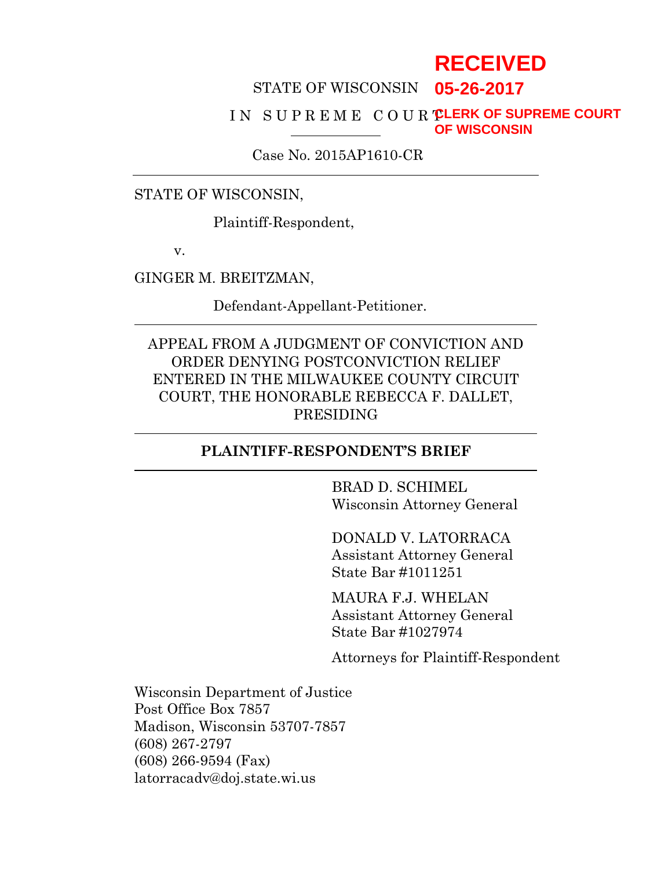# **RECEIVED**

## STATE OF WISCONSIN **05-26-2017**

#### IN SUPREME COUR **CLERK OF SUPREME COURT OF WISCONSIN**

Case No. 2015AP1610-CR

STATE OF WISCONSIN,

Plaintiff-Respondent,

v.

GINGER M. BREITZMAN,

Defendant-Appellant-Petitioner.

APPEAL FROM A JUDGMENT OF CONVICTION AND ORDER DENYING POSTCONVICTION RELIEF ENTERED IN THE MILWAUKEE COUNTY CIRCUIT COURT, THE HONORABLE REBECCA F. DALLET, PRESIDING

#### **PLAINTIFF-RESPONDENT'S BRIEF**

 BRAD D. SCHIMEL Wisconsin Attorney General

 DONALD V. LATORRACA Assistant Attorney General State Bar #1011251

MAURA F.J. WHELAN Assistant Attorney General State Bar #1027974

Attorneys for Plaintiff-Respondent

Wisconsin Department of Justice Post Office Box 7857 Madison, Wisconsin 53707-7857 (608) 267-2797 (608) 266-9594 (Fax) latorracadv@doj.state.wi.us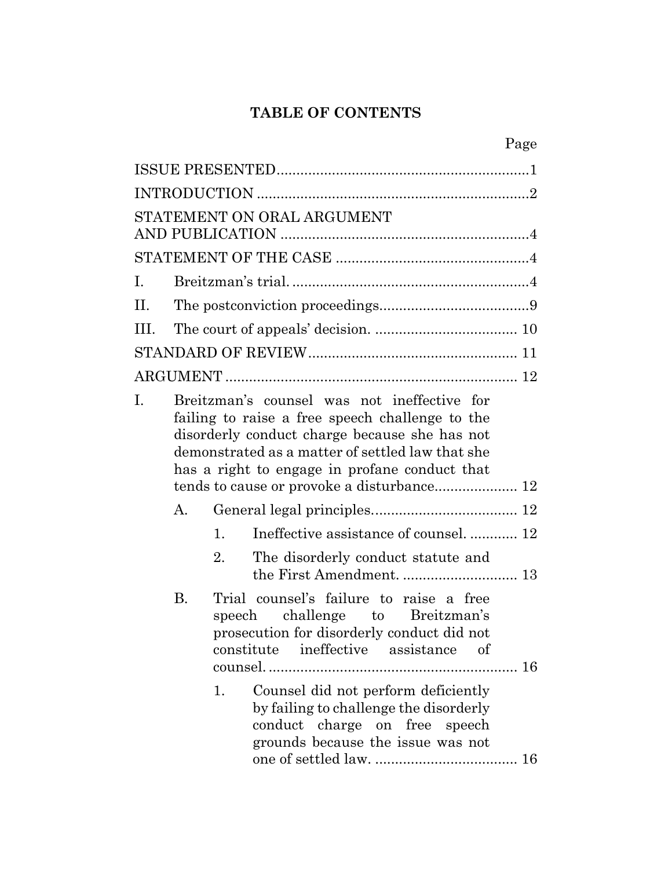## **TABLE OF CONTENTS**

|      |           | Page                                                                                                                                                                                                                                                 |
|------|-----------|------------------------------------------------------------------------------------------------------------------------------------------------------------------------------------------------------------------------------------------------------|
|      |           |                                                                                                                                                                                                                                                      |
|      |           |                                                                                                                                                                                                                                                      |
|      |           | STATEMENT ON ORAL ARGUMENT                                                                                                                                                                                                                           |
|      |           |                                                                                                                                                                                                                                                      |
| I.   |           |                                                                                                                                                                                                                                                      |
| П.   |           |                                                                                                                                                                                                                                                      |
| III. |           |                                                                                                                                                                                                                                                      |
|      |           |                                                                                                                                                                                                                                                      |
|      |           |                                                                                                                                                                                                                                                      |
| I.   |           | Breitzman's counsel was not ineffective for<br>failing to raise a free speech challenge to the<br>disorderly conduct charge because she has not<br>demonstrated as a matter of settled law that she<br>has a right to engage in profane conduct that |
|      | A.        |                                                                                                                                                                                                                                                      |
|      |           | Ineffective assistance of counsel 12<br>1.                                                                                                                                                                                                           |
|      |           | 2.<br>The disorderly conduct statute and                                                                                                                                                                                                             |
|      | <b>B.</b> | Trial counsel's failure to raise a free<br>speech challenge to Breitzman's<br>prosecution for disorderly conduct did not<br>ineffective assistance of<br>constitute                                                                                  |
|      |           | Counsel did not perform deficiently<br>1.<br>by failing to challenge the disorderly<br>conduct charge on free speech<br>grounds because the issue was not                                                                                            |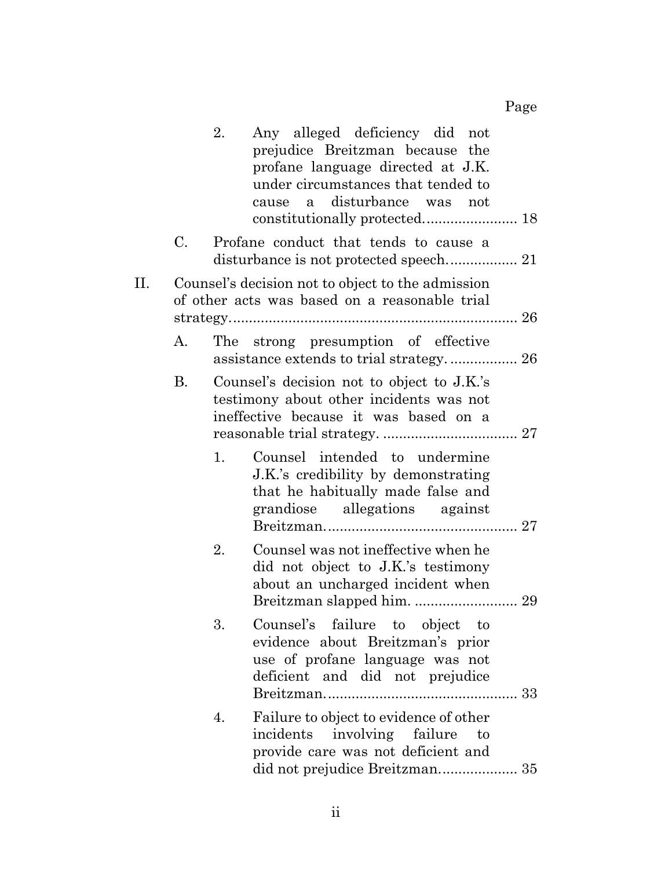|    |    | Any alleged deficiency did not<br>2.<br>prejudice Breitzman because the<br>profane language directed at J.K.<br>under circumstances that tended to<br>disturbance was not<br>cause a |
|----|----|--------------------------------------------------------------------------------------------------------------------------------------------------------------------------------------|
|    | C. | Profane conduct that tends to cause a                                                                                                                                                |
| П. |    | Counsel's decision not to object to the admission<br>of other acts was based on a reasonable trial                                                                                   |
|    | А. | The strong presumption of effective                                                                                                                                                  |
|    | В. | Counsel's decision not to object to J.K.'s<br>testimony about other incidents was not<br>ineffective because it was based on a                                                       |
|    |    | Counsel intended to undermine<br>1.<br>J.K.'s credibility by demonstrating<br>that he habitually made false and<br>grandiose allegations against                                     |
|    |    | Counsel was not ineffective when he<br>2.<br>did not object to J.K.'s testimony<br>about an uncharged incident when                                                                  |
|    |    | Counsel's failure to object to<br>3.<br>evidence about Breitzman's prior<br>use of profane language was not<br>deficient and did not prejudice                                       |
|    |    | Failure to object to evidence of other<br>4.<br>incidents involving failure to<br>provide care was not deficient and<br>did not prejudice Breitzman 35                               |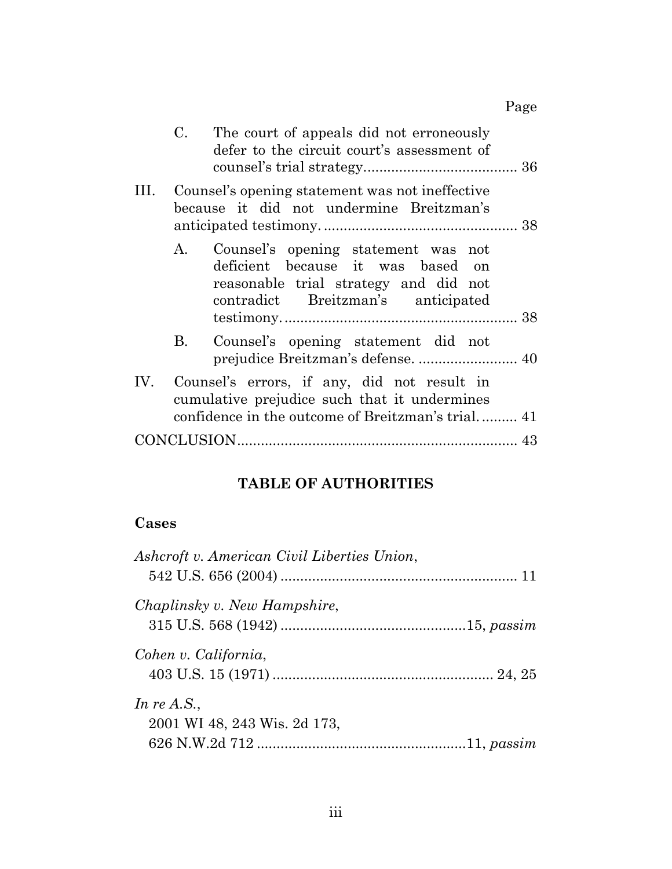|           | C. The court of appeals did not erroneously<br>defer to the circuit court's assessment of                                                                  |
|-----------|------------------------------------------------------------------------------------------------------------------------------------------------------------|
|           | Counsel's opening statement was not ineffective<br>because it did not undermine Breitzman's                                                                |
|           | A. Counsel's opening statement was not<br>deficient because it was based on<br>reasonable trial strategy and did not<br>contradict Breitzman's anticipated |
| <b>B.</b> | Counsel's opening statement did not                                                                                                                        |
|           | IV. Counsel's errors, if any, did not result in<br>cumulative prejudice such that it undermines<br>confidence in the outcome of Breitzman's trial 41       |
|           |                                                                                                                                                            |

## **TABLE OF AUTHORITIES**

## **Cases**

| Ashcroft v. American Civil Liberties Union, |  |
|---------------------------------------------|--|
| Chaplinsky v. New Hampshire,                |  |
|                                             |  |
| Cohen v. California,                        |  |
|                                             |  |
| In re A.S.,                                 |  |
| 2001 WI 48, 243 Wis. 2d 173,                |  |
|                                             |  |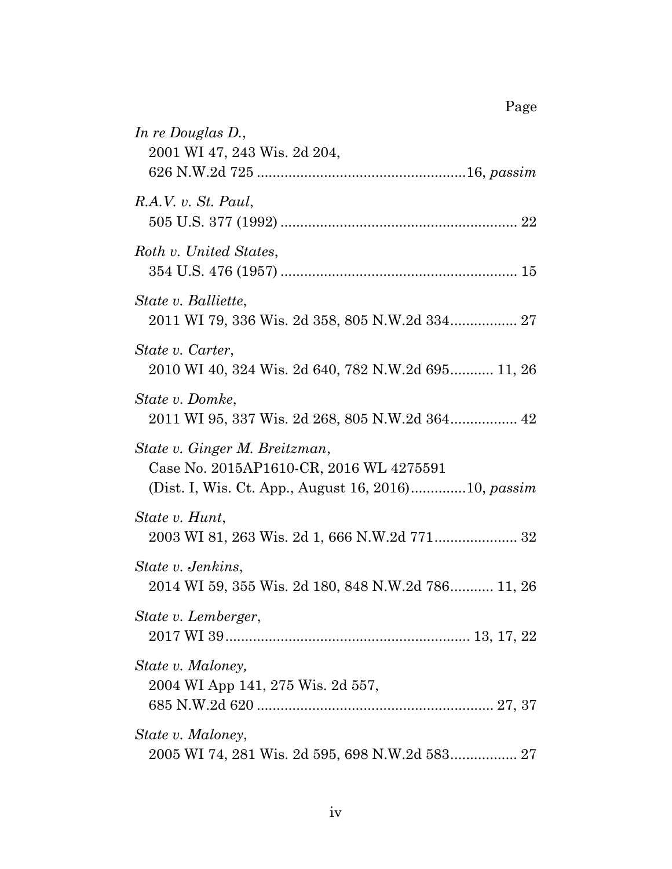| In re Douglas D.,<br>2001 WI 47, 243 Wis. 2d 204,                                                                                      |
|----------------------------------------------------------------------------------------------------------------------------------------|
|                                                                                                                                        |
| R.A.V. v. St. Paul,                                                                                                                    |
| Roth v. United States,                                                                                                                 |
| State v. Balliette,<br>2011 WI 79, 336 Wis. 2d 358, 805 N.W.2d 334 27                                                                  |
| State v. Carter,<br>2010 WI 40, 324 Wis. 2d 640, 782 N.W.2d 695 11, 26                                                                 |
| State v. Domke,                                                                                                                        |
| State v. Ginger M. Breitzman,<br>Case No. 2015AP1610-CR, 2016 WL 4275591<br>(Dist. I, Wis. Ct. App., August 16, 2016)10, <i>passim</i> |
| State v. Hunt,<br>2003 WI 81, 263 Wis. 2d 1, 666 N.W.2d 771 32                                                                         |
| State v. Jenkins,<br>2014 WI 59, 355 Wis. 2d 180, 848 N.W.2d 786 11, 26                                                                |
| State v. Lemberger,                                                                                                                    |
| State v. Maloney,<br>2004 WI App 141, 275 Wis. 2d 557,                                                                                 |
| State v. Maloney,                                                                                                                      |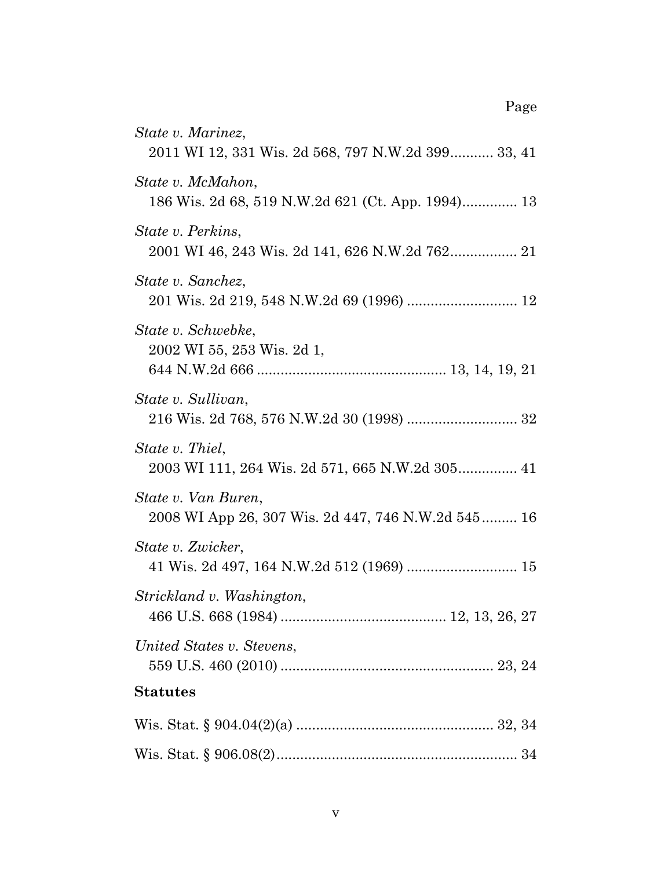| State v. Marinez,                                                         |
|---------------------------------------------------------------------------|
| 2011 WI 12, 331 Wis. 2d 568, 797 N.W.2d 399 33, 41                        |
| State v. McMahon,<br>186 Wis. 2d 68, 519 N.W.2d 621 (Ct. App. 1994) 13    |
| State v. Perkins,                                                         |
| State v. Sanchez,                                                         |
| State v. Schwebke,<br>2002 WI 55, 253 Wis. 2d 1,                          |
| State v. Sullivan,                                                        |
| State v. Thiel,                                                           |
| State v. Van Buren,<br>2008 WI App 26, 307 Wis. 2d 447, 746 N.W.2d 545 16 |
| State v. Zwicker,<br>41 Wis. 2d 497, 164 N.W.2d 512 (1969)  15            |
| Strickland v. Washington,                                                 |
| United States v. Stevens,                                                 |
| <b>Statutes</b>                                                           |
|                                                                           |
|                                                                           |

Page

v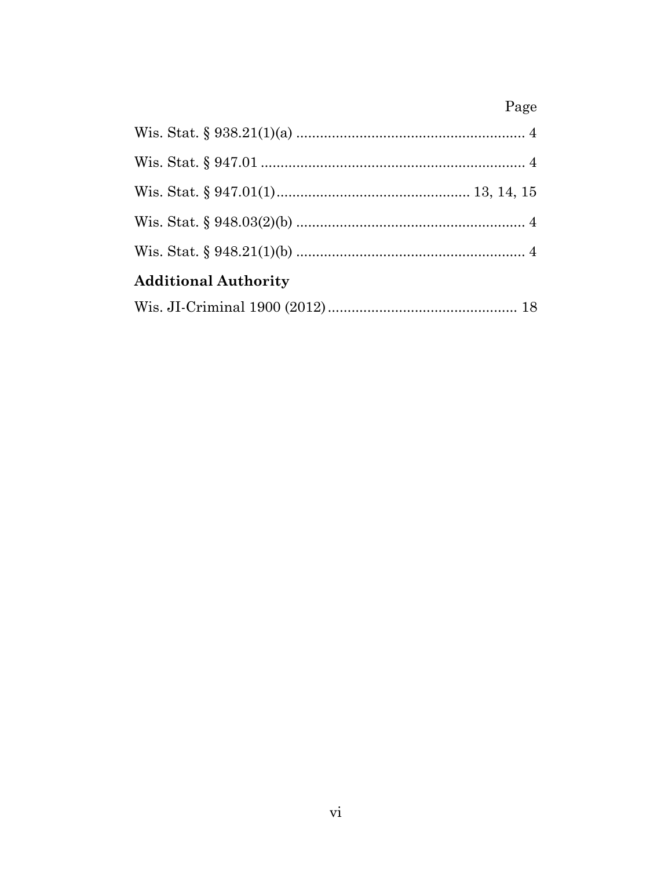## Page

| <b>Additional Authority</b> |  |
|-----------------------------|--|
|                             |  |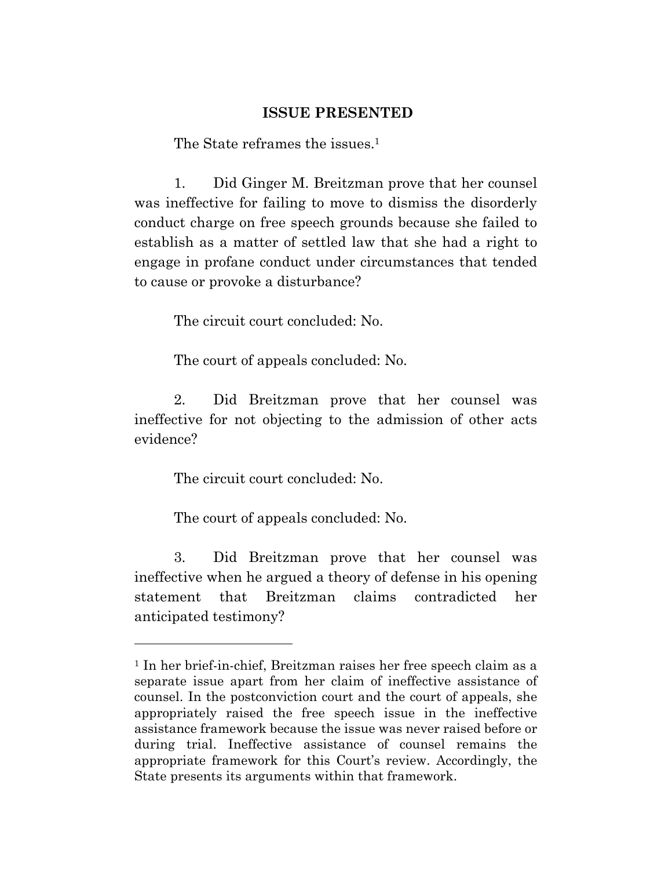#### **ISSUE PRESENTED**

The State reframes the issues.<sup>1</sup>

 1. Did Ginger M. Breitzman prove that her counsel was ineffective for failing to move to dismiss the disorderly conduct charge on free speech grounds because she failed to establish as a matter of settled law that she had a right to engage in profane conduct under circumstances that tended to cause or provoke a disturbance?

The circuit court concluded: No.

The court of appeals concluded: No.

 2. Did Breitzman prove that her counsel was ineffective for not objecting to the admission of other acts evidence?

The circuit court concluded: No.

The court of appeals concluded: No.

 3. Did Breitzman prove that her counsel was ineffective when he argued a theory of defense in his opening statement that Breitzman claims contradicted her anticipated testimony?

<sup>1</sup> In her brief-in-chief, Breitzman raises her free speech claim as a separate issue apart from her claim of ineffective assistance of counsel. In the postconviction court and the court of appeals, she appropriately raised the free speech issue in the ineffective assistance framework because the issue was never raised before or during trial. Ineffective assistance of counsel remains the appropriate framework for this Court's review. Accordingly, the State presents its arguments within that framework.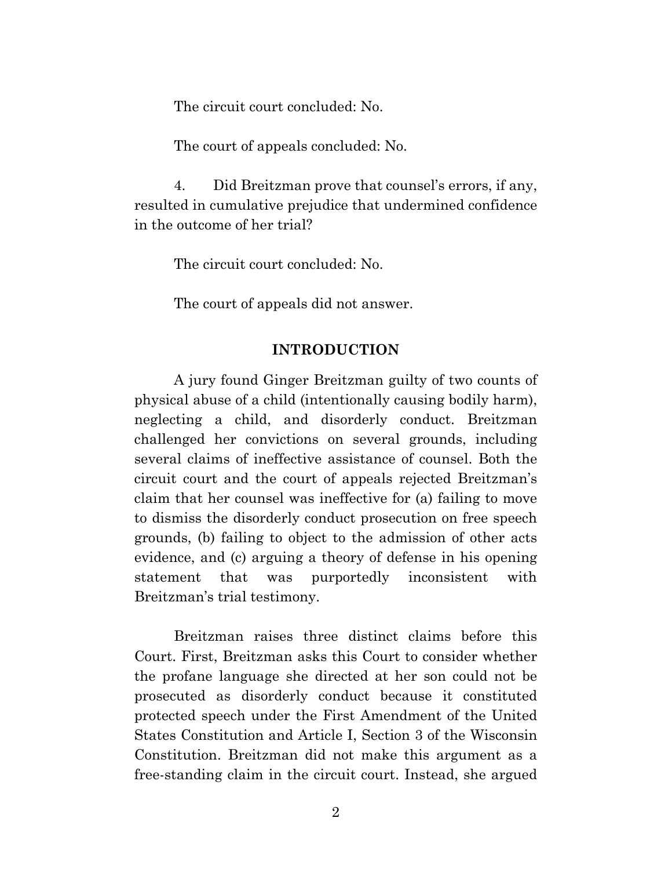The circuit court concluded: No.

The court of appeals concluded: No.

 4. Did Breitzman prove that counsel's errors, if any, resulted in cumulative prejudice that undermined confidence in the outcome of her trial?

The circuit court concluded: No.

The court of appeals did not answer.

#### **INTRODUCTION**

 A jury found Ginger Breitzman guilty of two counts of physical abuse of a child (intentionally causing bodily harm), neglecting a child, and disorderly conduct. Breitzman challenged her convictions on several grounds, including several claims of ineffective assistance of counsel. Both the circuit court and the court of appeals rejected Breitzman's claim that her counsel was ineffective for (a) failing to move to dismiss the disorderly conduct prosecution on free speech grounds, (b) failing to object to the admission of other acts evidence, and (c) arguing a theory of defense in his opening statement that was purportedly inconsistent with Breitzman's trial testimony.

 Breitzman raises three distinct claims before this Court. First, Breitzman asks this Court to consider whether the profane language she directed at her son could not be prosecuted as disorderly conduct because it constituted protected speech under the First Amendment of the United States Constitution and Article I, Section 3 of the Wisconsin Constitution. Breitzman did not make this argument as a free-standing claim in the circuit court. Instead, she argued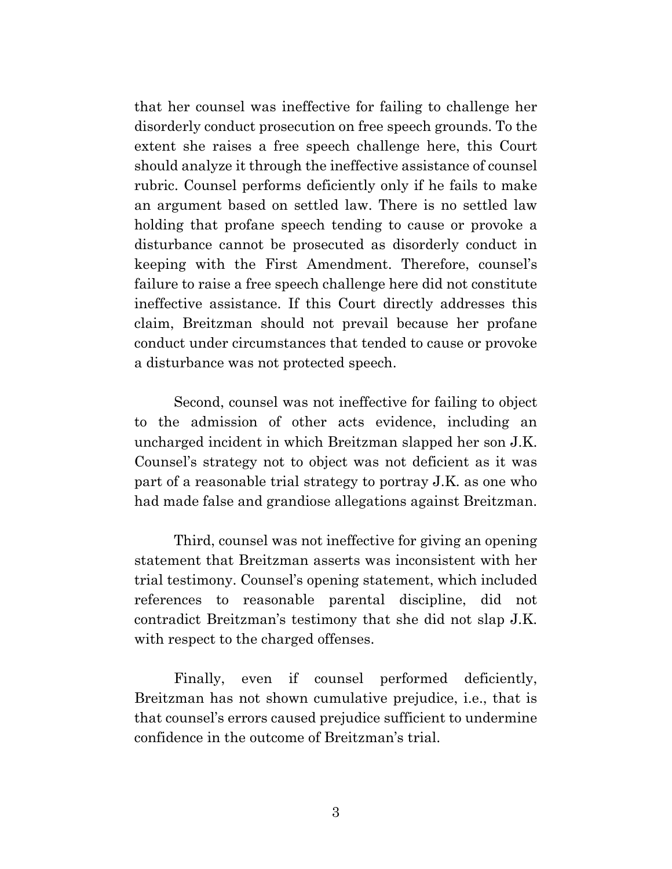that her counsel was ineffective for failing to challenge her disorderly conduct prosecution on free speech grounds. To the extent she raises a free speech challenge here, this Court should analyze it through the ineffective assistance of counsel rubric. Counsel performs deficiently only if he fails to make an argument based on settled law. There is no settled law holding that profane speech tending to cause or provoke a disturbance cannot be prosecuted as disorderly conduct in keeping with the First Amendment. Therefore, counsel's failure to raise a free speech challenge here did not constitute ineffective assistance. If this Court directly addresses this claim, Breitzman should not prevail because her profane conduct under circumstances that tended to cause or provoke a disturbance was not protected speech.

 Second, counsel was not ineffective for failing to object to the admission of other acts evidence, including an uncharged incident in which Breitzman slapped her son J.K. Counsel's strategy not to object was not deficient as it was part of a reasonable trial strategy to portray J.K. as one who had made false and grandiose allegations against Breitzman.

 Third, counsel was not ineffective for giving an opening statement that Breitzman asserts was inconsistent with her trial testimony. Counsel's opening statement, which included references to reasonable parental discipline, did not contradict Breitzman's testimony that she did not slap J.K. with respect to the charged offenses.

Finally, even if counsel performed deficiently, Breitzman has not shown cumulative prejudice, i.e., that is that counsel's errors caused prejudice sufficient to undermine confidence in the outcome of Breitzman's trial.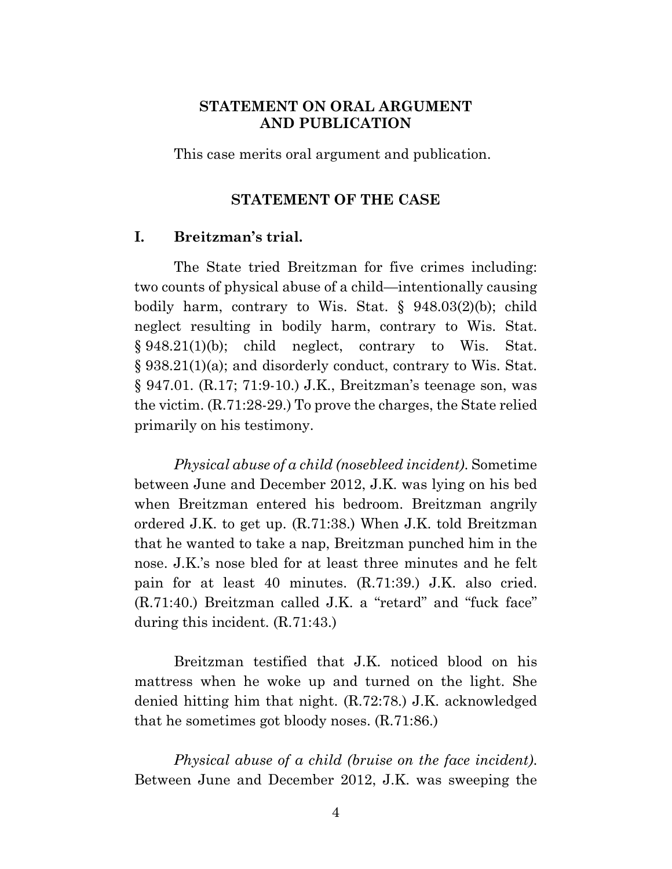### **STATEMENT ON ORAL ARGUMENT AND PUBLICATION**

This case merits oral argument and publication.

#### **STATEMENT OF THE CASE**

#### **I. Breitzman's trial.**

 The State tried Breitzman for five crimes including: two counts of physical abuse of a child—intentionally causing bodily harm, contrary to Wis. Stat. § 948.03(2)(b); child neglect resulting in bodily harm, contrary to Wis. Stat. § 948.21(1)(b); child neglect, contrary to Wis. Stat. § 938.21(1)(a); and disorderly conduct, contrary to Wis. Stat. § 947.01. (R.17; 71:9-10.) J.K., Breitzman's teenage son, was the victim. (R.71:28-29.) To prove the charges, the State relied primarily on his testimony.

*Physical abuse of a child (nosebleed incident)*. Sometime between June and December 2012, J.K. was lying on his bed when Breitzman entered his bedroom. Breitzman angrily ordered J.K. to get up. (R.71:38.) When J.K. told Breitzman that he wanted to take a nap, Breitzman punched him in the nose. J.K.'s nose bled for at least three minutes and he felt pain for at least 40 minutes. (R.71:39.) J.K. also cried. (R.71:40.) Breitzman called J.K. a "retard" and "fuck face" during this incident. (R.71:43.)

 Breitzman testified that J.K. noticed blood on his mattress when he woke up and turned on the light. She denied hitting him that night. (R.72:78.) J.K. acknowledged that he sometimes got bloody noses. (R.71:86.)

*Physical abuse of a child (bruise on the face incident)*. Between June and December 2012, J.K. was sweeping the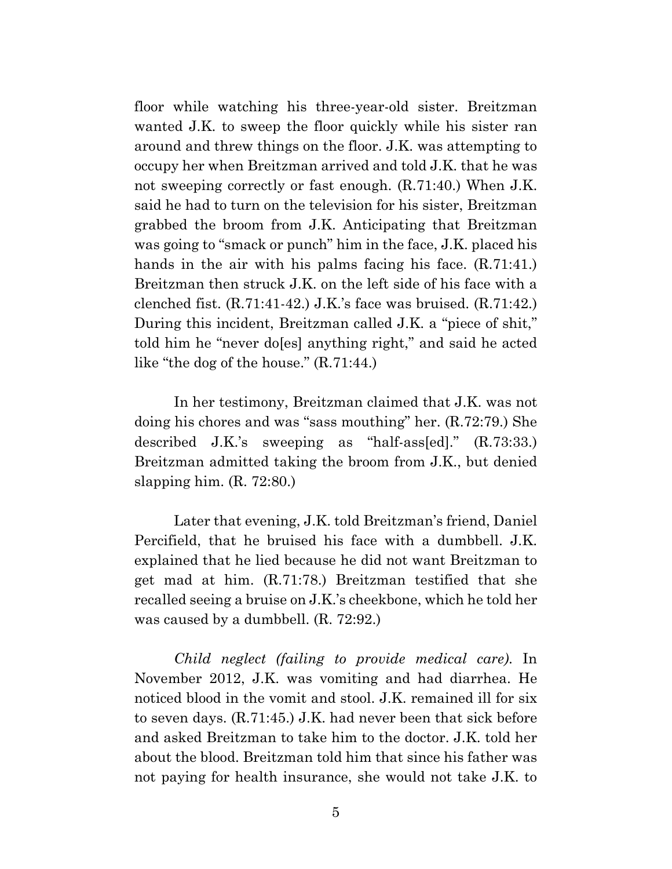floor while watching his three-year-old sister. Breitzman wanted J.K. to sweep the floor quickly while his sister ran around and threw things on the floor. J.K. was attempting to occupy her when Breitzman arrived and told J.K. that he was not sweeping correctly or fast enough. (R.71:40.) When J.K. said he had to turn on the television for his sister, Breitzman grabbed the broom from J.K. Anticipating that Breitzman was going to "smack or punch" him in the face, J.K. placed his hands in the air with his palms facing his face. (R.71:41.) Breitzman then struck J.K. on the left side of his face with a clenched fist. (R.71:41-42.) J.K.'s face was bruised. (R.71:42.) During this incident, Breitzman called J.K. a "piece of shit," told him he "never do[es] anything right," and said he acted like "the dog of the house." (R.71:44.)

 In her testimony, Breitzman claimed that J.K. was not doing his chores and was "sass mouthing" her. (R.72:79.) She described J.K.'s sweeping as "half-ass[ed]." (R.73:33.) Breitzman admitted taking the broom from J.K., but denied slapping him. (R. 72:80.)

 Later that evening, J.K. told Breitzman's friend, Daniel Percifield, that he bruised his face with a dumbbell. J.K. explained that he lied because he did not want Breitzman to get mad at him. (R.71:78.) Breitzman testified that she recalled seeing a bruise on J.K.'s cheekbone, which he told her was caused by a dumbbell. (R. 72:92.)

*Child neglect (failing to provide medical care)*. In November 2012, J.K. was vomiting and had diarrhea. He noticed blood in the vomit and stool. J.K. remained ill for six to seven days. (R.71:45.) J.K. had never been that sick before and asked Breitzman to take him to the doctor. J.K. told her about the blood. Breitzman told him that since his father was not paying for health insurance, she would not take J.K. to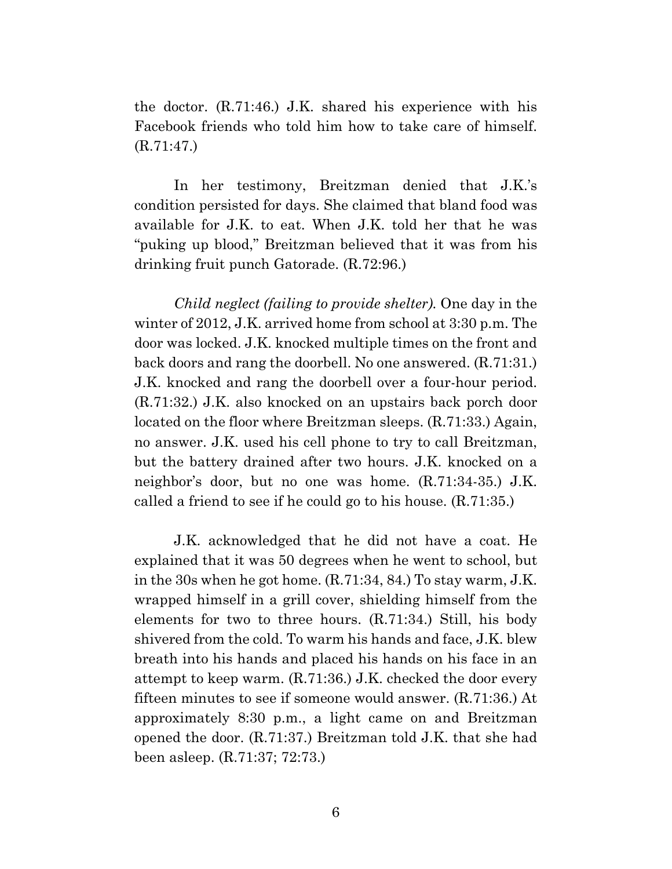the doctor. (R.71:46.) J.K. shared his experience with his Facebook friends who told him how to take care of himself. (R.71:47.)

 In her testimony, Breitzman denied that J.K.'s condition persisted for days. She claimed that bland food was available for J.K. to eat. When J.K. told her that he was "puking up blood," Breitzman believed that it was from his drinking fruit punch Gatorade. (R.72:96.)

*Child neglect (failing to provide shelter).* One day in the winter of 2012, J.K. arrived home from school at 3:30 p.m. The door was locked. J.K. knocked multiple times on the front and back doors and rang the doorbell. No one answered. (R.71:31.) J.K. knocked and rang the doorbell over a four-hour period. (R.71:32.) J.K. also knocked on an upstairs back porch door located on the floor where Breitzman sleeps. (R.71:33.) Again, no answer. J.K. used his cell phone to try to call Breitzman, but the battery drained after two hours. J.K. knocked on a neighbor's door, but no one was home. (R.71:34-35.) J.K. called a friend to see if he could go to his house. (R.71:35.)

 J.K. acknowledged that he did not have a coat. He explained that it was 50 degrees when he went to school, but in the 30s when he got home. (R.71:34, 84.) To stay warm, J.K. wrapped himself in a grill cover, shielding himself from the elements for two to three hours. (R.71:34.) Still, his body shivered from the cold. To warm his hands and face, J.K. blew breath into his hands and placed his hands on his face in an attempt to keep warm. (R.71:36.) J.K. checked the door every fifteen minutes to see if someone would answer. (R.71:36.) At approximately 8:30 p.m., a light came on and Breitzman opened the door. (R.71:37.) Breitzman told J.K. that she had been asleep. (R.71:37; 72:73.)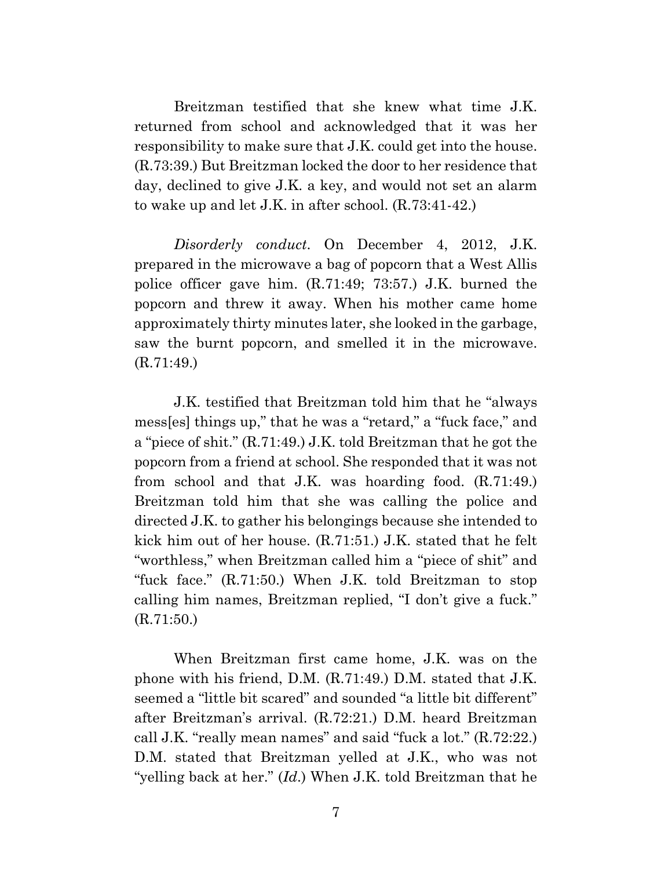Breitzman testified that she knew what time J.K. returned from school and acknowledged that it was her responsibility to make sure that J.K. could get into the house. (R.73:39.) But Breitzman locked the door to her residence that day, declined to give J.K. a key, and would not set an alarm to wake up and let J.K. in after school. (R.73:41-42.)

*Disorderly conduct*. On December 4, 2012, J.K. prepared in the microwave a bag of popcorn that a West Allis police officer gave him. (R.71:49; 73:57.) J.K. burned the popcorn and threw it away. When his mother came home approximately thirty minutes later, she looked in the garbage, saw the burnt popcorn, and smelled it in the microwave. (R.71:49.)

 J.K. testified that Breitzman told him that he "always mess[es] things up," that he was a "retard," a "fuck face," and a "piece of shit." (R.71:49.) J.K. told Breitzman that he got the popcorn from a friend at school. She responded that it was not from school and that J.K. was hoarding food. (R.71:49.) Breitzman told him that she was calling the police and directed J.K. to gather his belongings because she intended to kick him out of her house. (R.71:51.) J.K. stated that he felt "worthless," when Breitzman called him a "piece of shit" and "fuck face." (R.71:50.) When J.K. told Breitzman to stop calling him names, Breitzman replied, "I don't give a fuck." (R.71:50.)

 When Breitzman first came home, J.K. was on the phone with his friend, D.M. (R.71:49.) D.M. stated that J.K. seemed a "little bit scared" and sounded "a little bit different" after Breitzman's arrival. (R.72:21.) D.M. heard Breitzman call J.K. "really mean names" and said "fuck a lot." (R.72:22.) D.M. stated that Breitzman yelled at J.K., who was not "yelling back at her." (*Id*.) When J.K. told Breitzman that he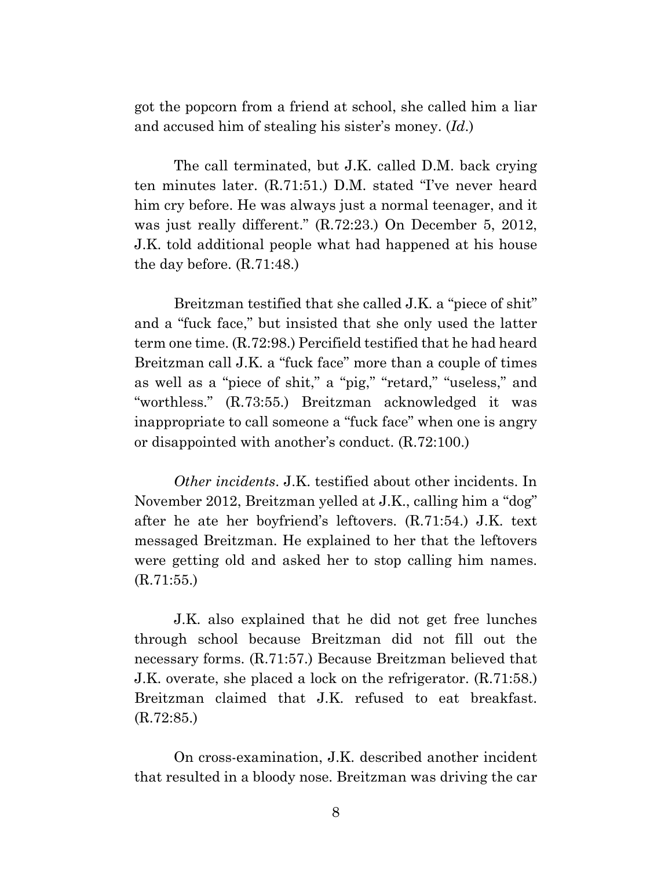got the popcorn from a friend at school, she called him a liar and accused him of stealing his sister's money. (*Id*.)

 The call terminated, but J.K. called D.M. back crying ten minutes later. (R.71:51.) D.M. stated "I've never heard him cry before. He was always just a normal teenager, and it was just really different." (R.72:23.) On December 5, 2012, J.K. told additional people what had happened at his house the day before. (R.71:48.)

 Breitzman testified that she called J.K. a "piece of shit" and a "fuck face," but insisted that she only used the latter term one time. (R.72:98.) Percifield testified that he had heard Breitzman call J.K. a "fuck face" more than a couple of times as well as a "piece of shit," a "pig," "retard," "useless," and "worthless." (R.73:55.) Breitzman acknowledged it was inappropriate to call someone a "fuck face" when one is angry or disappointed with another's conduct. (R.72:100.)

*Other incidents*. J.K. testified about other incidents. In November 2012, Breitzman yelled at J.K., calling him a "dog" after he ate her boyfriend's leftovers. (R.71:54.) J.K. text messaged Breitzman. He explained to her that the leftovers were getting old and asked her to stop calling him names. (R.71:55.)

 J.K. also explained that he did not get free lunches through school because Breitzman did not fill out the necessary forms. (R.71:57.) Because Breitzman believed that J.K. overate, she placed a lock on the refrigerator. (R.71:58.) Breitzman claimed that J.K. refused to eat breakfast. (R.72:85.)

 On cross-examination, J.K. described another incident that resulted in a bloody nose. Breitzman was driving the car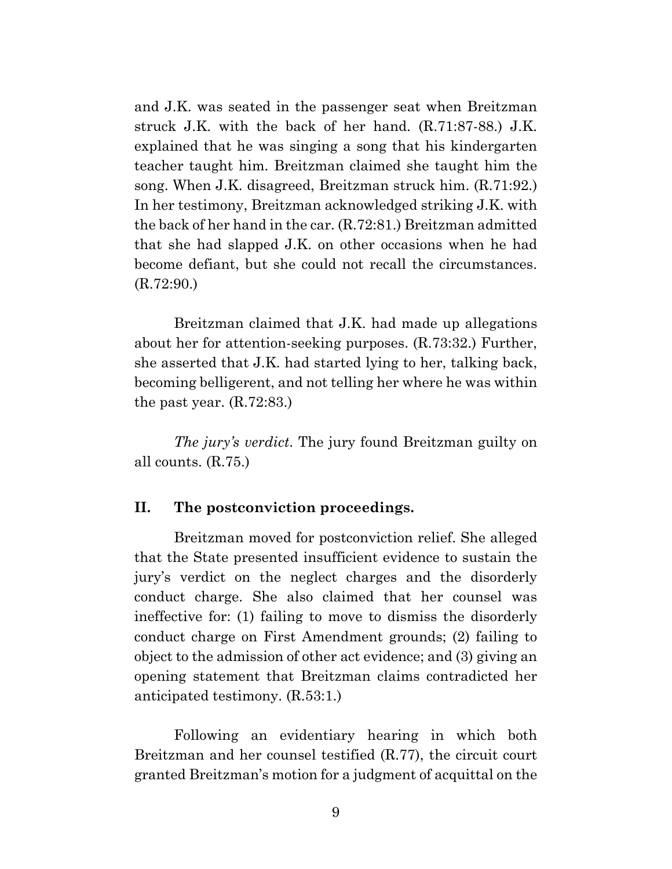and J.K. was seated in the passenger seat when Breitzman struck J.K. with the back of her hand. (R.71:87-88.) J.K. explained that he was singing a song that his kindergarten teacher taught him. Breitzman claimed she taught him the song. When J.K. disagreed, Breitzman struck him. (R.71:92.) In her testimony, Breitzman acknowledged striking J.K. with the back of her hand in the car. (R.72:81.) Breitzman admitted that she had slapped J.K. on other occasions when he had become defiant, but she could not recall the circumstances. (R.72:90.)

 Breitzman claimed that J.K. had made up allegations about her for attention-seeking purposes. (R.73:32.) Further, she asserted that J.K. had started lying to her, talking back, becoming belligerent, and not telling her where he was within the past year. (R.72:83.)

*The jury's verdict*. The jury found Breitzman guilty on all counts. (R.75.)

#### **II. The postconviction proceedings.**

 Breitzman moved for postconviction relief. She alleged that the State presented insufficient evidence to sustain the jury's verdict on the neglect charges and the disorderly conduct charge. She also claimed that her counsel was ineffective for: (1) failing to move to dismiss the disorderly conduct charge on First Amendment grounds; (2) failing to object to the admission of other act evidence; and (3) giving an opening statement that Breitzman claims contradicted her anticipated testimony. (R.53:1.)

 Following an evidentiary hearing in which both Breitzman and her counsel testified (R.77), the circuit court granted Breitzman's motion for a judgment of acquittal on the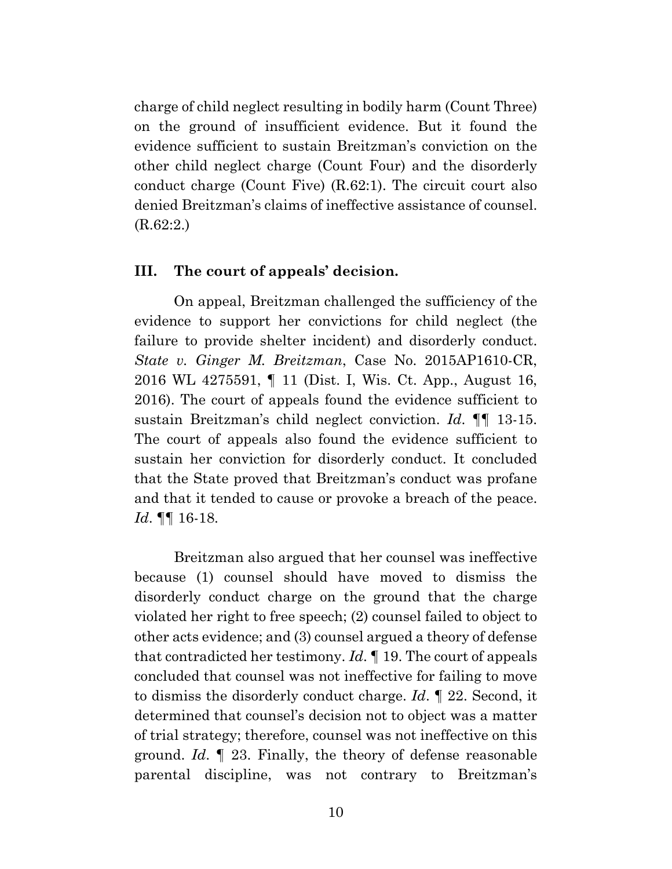charge of child neglect resulting in bodily harm (Count Three) on the ground of insufficient evidence. But it found the evidence sufficient to sustain Breitzman's conviction on the other child neglect charge (Count Four) and the disorderly conduct charge (Count Five) (R.62:1). The circuit court also denied Breitzman's claims of ineffective assistance of counsel. (R.62:2.)

#### **III. The court of appeals' decision.**

 On appeal, Breitzman challenged the sufficiency of the evidence to support her convictions for child neglect (the failure to provide shelter incident) and disorderly conduct. *State v. Ginger M. Breitzman*, Case No. 2015AP1610-CR, 2016 WL 4275591, ¶ 11 (Dist. I, Wis. Ct. App., August 16, 2016). The court of appeals found the evidence sufficient to sustain Breitzman's child neglect conviction. *Id*. ¶¶ 13-15. The court of appeals also found the evidence sufficient to sustain her conviction for disorderly conduct. It concluded that the State proved that Breitzman's conduct was profane and that it tended to cause or provoke a breach of the peace. *Id*. ¶¶ 16-18.

 Breitzman also argued that her counsel was ineffective because (1) counsel should have moved to dismiss the disorderly conduct charge on the ground that the charge violated her right to free speech; (2) counsel failed to object to other acts evidence; and (3) counsel argued a theory of defense that contradicted her testimony. *Id*. ¶ 19. The court of appeals concluded that counsel was not ineffective for failing to move to dismiss the disorderly conduct charge. *Id*. ¶ 22. Second, it determined that counsel's decision not to object was a matter of trial strategy; therefore, counsel was not ineffective on this ground. *Id*. ¶ 23. Finally, the theory of defense reasonable parental discipline, was not contrary to Breitzman's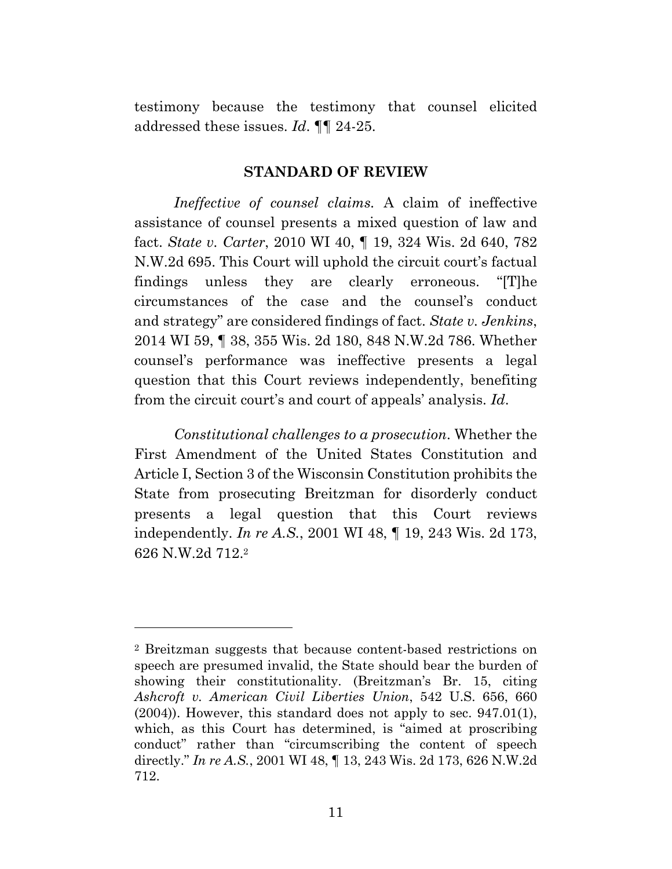testimony because the testimony that counsel elicited addressed these issues. *Id*. ¶¶ 24-25.

#### **STANDARD OF REVIEW**

*Ineffective of counsel claims.* A claim of ineffective assistance of counsel presents a mixed question of law and fact. *State v. Carter*, 2010 WI 40, ¶ 19, 324 Wis. 2d 640, 782 N.W.2d 695. This Court will uphold the circuit court's factual findings unless they are clearly erroneous. "[T]he circumstances of the case and the counsel's conduct and strategy" are considered findings of fact. *State v. Jenkins*, 2014 WI 59, ¶ 38, 355 Wis. 2d 180, 848 N.W.2d 786. Whether counsel's performance was ineffective presents a legal question that this Court reviews independently, benefiting from the circuit court's and court of appeals' analysis. *Id*.

*Constitutional challenges to a prosecution*. Whether the First Amendment of the United States Constitution and Article I, Section 3 of the Wisconsin Constitution prohibits the State from prosecuting Breitzman for disorderly conduct presents a legal question that this Court reviews independently. *In re A.S.*, 2001 WI 48, ¶ 19, 243 Wis. 2d 173, 626 N.W.2d 712.2

<sup>2</sup> Breitzman suggests that because content-based restrictions on speech are presumed invalid, the State should bear the burden of showing their constitutionality. (Breitzman's Br. 15, citing *Ashcroft v. American Civil Liberties Union*, 542 U.S. 656, 660 (2004)). However, this standard does not apply to sec. 947.01(1), which, as this Court has determined, is "aimed at proscribing conduct" rather than "circumscribing the content of speech directly." *In re A.S.*, 2001 WI 48, ¶ 13, 243 Wis. 2d 173, 626 N.W.2d 712.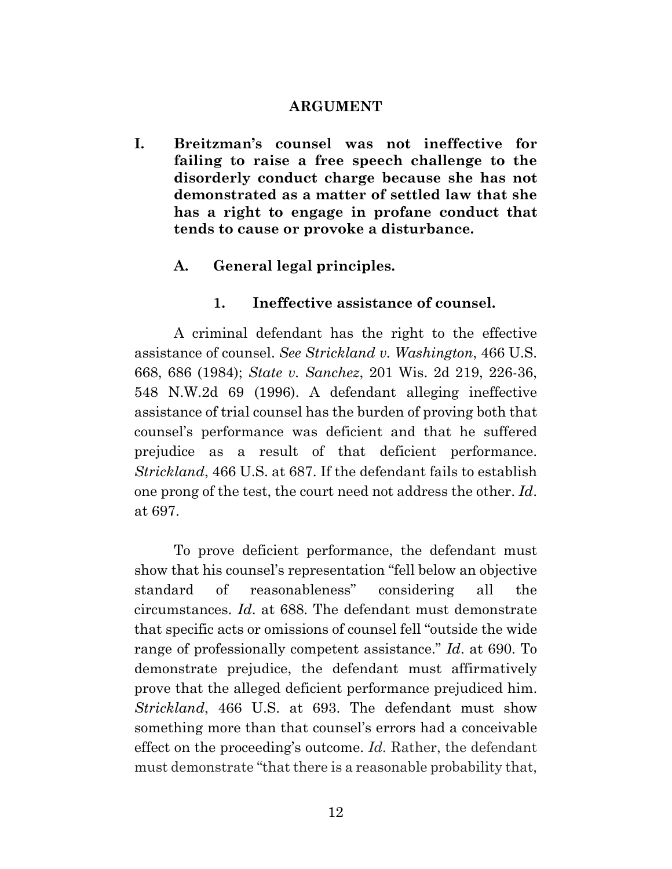#### **ARGUMENT**

**I. Breitzman's counsel was not ineffective for failing to raise a free speech challenge to the disorderly conduct charge because she has not demonstrated as a matter of settled law that she has a right to engage in profane conduct that tends to cause or provoke a disturbance.** 

## **A. General legal principles.**

### **1. Ineffective assistance of counsel.**

 A criminal defendant has the right to the effective assistance of counsel. *See Strickland v. Washington*, 466 U.S. 668, 686 (1984); *State v. Sanchez*, 201 Wis. 2d 219, 226-36, 548 N.W.2d 69 (1996). A defendant alleging ineffective assistance of trial counsel has the burden of proving both that counsel's performance was deficient and that he suffered prejudice as a result of that deficient performance. *Strickland*, 466 U.S. at 687. If the defendant fails to establish one prong of the test, the court need not address the other. *Id*. at 697.

 To prove deficient performance, the defendant must show that his counsel's representation "fell below an objective standard of reasonableness" considering all the circumstances. *Id*. at 688. The defendant must demonstrate that specific acts or omissions of counsel fell "outside the wide range of professionally competent assistance." *Id*. at 690. To demonstrate prejudice, the defendant must affirmatively prove that the alleged deficient performance prejudiced him. *Strickland*, 466 U.S. at 693. The defendant must show something more than that counsel's errors had a conceivable effect on the proceeding's outcome. *Id.* Rather, the defendant must demonstrate "that there is a reasonable probability that,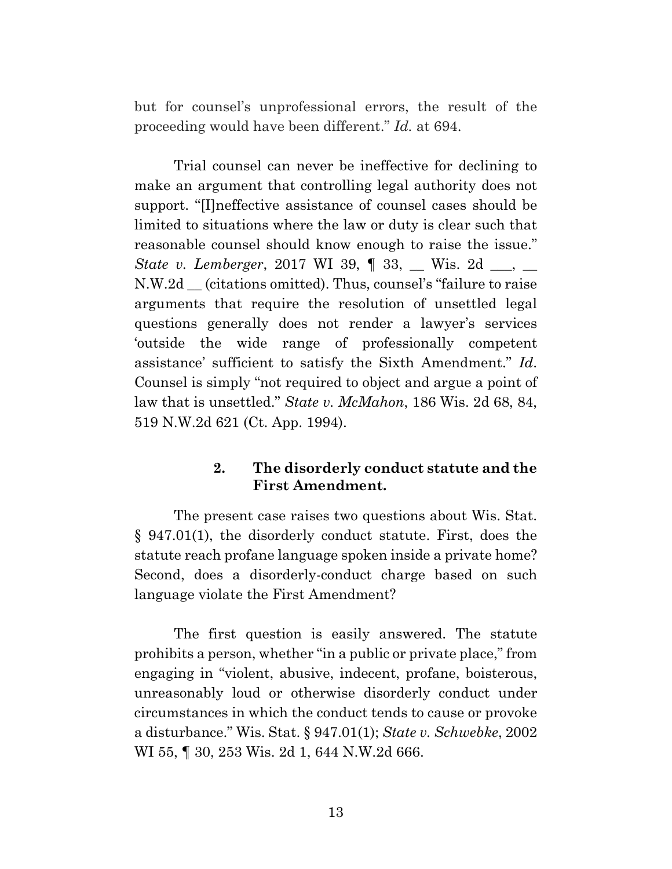but for counsel's unprofessional errors, the result of the proceeding would have been different." *Id.* at 694.

 Trial counsel can never be ineffective for declining to make an argument that controlling legal authority does not support. "[I]neffective assistance of counsel cases should be limited to situations where the law or duty is clear such that reasonable counsel should know enough to raise the issue." *State v. Lemberger*, 2017 WI 39,  $\parallel$  33,  $\parallel$  Wis. 2d  $\parallel$ ,  $\perp$ N.W.2d \_\_ (citations omitted). Thus, counsel's "failure to raise arguments that require the resolution of unsettled legal questions generally does not render a lawyer's services 'outside the wide range of professionally competent assistance' sufficient to satisfy the Sixth Amendment." *Id*. Counsel is simply "not required to object and argue a point of law that is unsettled." *State v. McMahon*, 186 Wis. 2d 68, 84, 519 N.W.2d 621 (Ct. App. 1994).

## **2. The disorderly conduct statute and the First Amendment.**

 The present case raises two questions about Wis. Stat. § 947.01(1), the disorderly conduct statute. First, does the statute reach profane language spoken inside a private home? Second, does a disorderly-conduct charge based on such language violate the First Amendment?

 The first question is easily answered. The statute prohibits a person, whether "in a public or private place," from engaging in "violent, abusive, indecent, profane, boisterous, unreasonably loud or otherwise disorderly conduct under circumstances in which the conduct tends to cause or provoke a disturbance." Wis. Stat. § 947.01(1); *State v. Schwebke*, 2002 WI 55,  $\parallel$  30, 253 Wis. 2d 1, 644 N.W. 2d 666.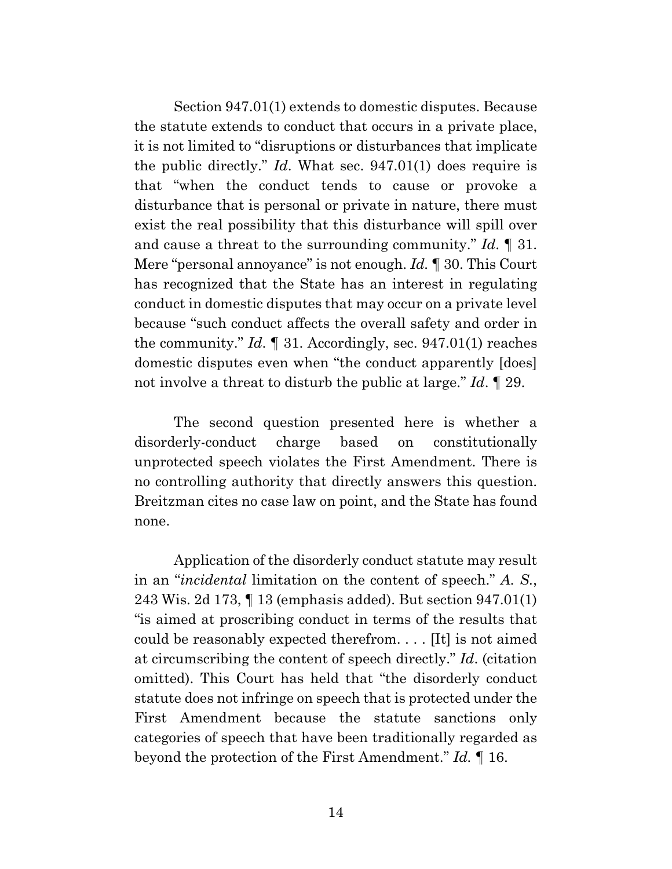Section 947.01(1) extends to domestic disputes. Because the statute extends to conduct that occurs in a private place, it is not limited to "disruptions or disturbances that implicate the public directly." *Id*. What sec. 947.01(1) does require is that "when the conduct tends to cause or provoke a disturbance that is personal or private in nature, there must exist the real possibility that this disturbance will spill over and cause a threat to the surrounding community." *Id*. ¶ 31. Mere "personal annoyance" is not enough. *Id.* ¶ 30. This Court has recognized that the State has an interest in regulating conduct in domestic disputes that may occur on a private level because "such conduct affects the overall safety and order in the community." *Id*. ¶ 31. Accordingly, sec. 947.01(1) reaches domestic disputes even when "the conduct apparently [does] not involve a threat to disturb the public at large." *Id*. ¶ 29.

 The second question presented here is whether a disorderly-conduct charge based on constitutionally unprotected speech violates the First Amendment. There is no controlling authority that directly answers this question. Breitzman cites no case law on point, and the State has found none.

 Application of the disorderly conduct statute may result in an "*incidental* limitation on the content of speech." *A. S.*, 243 Wis. 2d 173, ¶ 13 (emphasis added). But section 947.01(1) "is aimed at proscribing conduct in terms of the results that could be reasonably expected therefrom. . . . [It] is not aimed at circumscribing the content of speech directly." *Id*. (citation omitted). This Court has held that "the disorderly conduct statute does not infringe on speech that is protected under the First Amendment because the statute sanctions only categories of speech that have been traditionally regarded as beyond the protection of the First Amendment." *Id.* ¶ 16.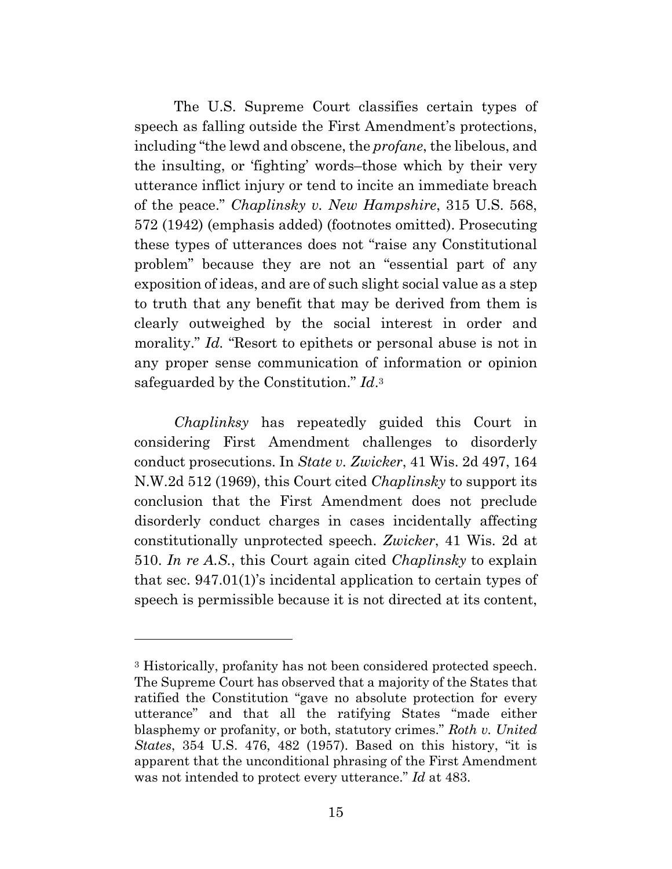The U.S. Supreme Court classifies certain types of speech as falling outside the First Amendment's protections, including "the lewd and obscene, the *profane*, the libelous, and the insulting, or 'fighting' words–those which by their very utterance inflict injury or tend to incite an immediate breach of the peace." *Chaplinsky v. New Hampshire*, 315 U.S. 568, 572 (1942) (emphasis added) (footnotes omitted). Prosecuting these types of utterances does not "raise any Constitutional problem" because they are not an "essential part of any exposition of ideas, and are of such slight social value as a step to truth that any benefit that may be derived from them is clearly outweighed by the social interest in order and morality." *Id.* "Resort to epithets or personal abuse is not in any proper sense communication of information or opinion safeguarded by the Constitution." *Id*.3

*Chaplinksy* has repeatedly guided this Court in considering First Amendment challenges to disorderly conduct prosecutions. In *State v. Zwicker*, 41 Wis. 2d 497, 164 N.W.2d 512 (1969), this Court cited *Chaplinsky* to support its conclusion that the First Amendment does not preclude disorderly conduct charges in cases incidentally affecting constitutionally unprotected speech. *Zwicker*, 41 Wis. 2d at 510. *In re A.S.*, this Court again cited *Chaplinsky* to explain that sec. 947.01(1)'s incidental application to certain types of speech is permissible because it is not directed at its content,

<sup>3</sup> Historically, profanity has not been considered protected speech. The Supreme Court has observed that a majority of the States that ratified the Constitution "gave no absolute protection for every utterance" and that all the ratifying States "made either blasphemy or profanity, or both, statutory crimes." *Roth v. United States*, 354 U.S. 476, 482 (1957). Based on this history, "it is apparent that the unconditional phrasing of the First Amendment was not intended to protect every utterance." *Id* at 483.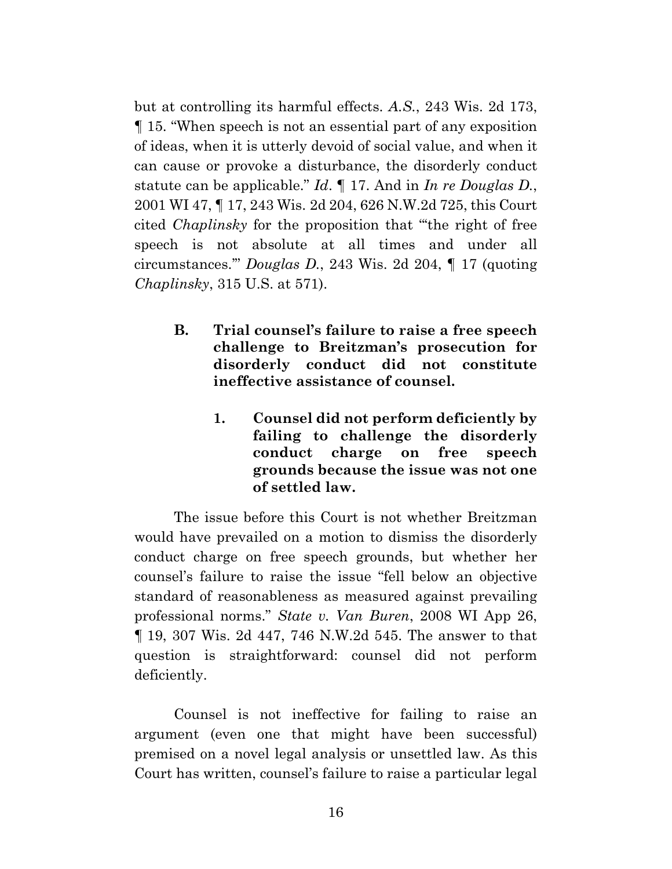but at controlling its harmful effects. *A.S.*, 243 Wis. 2d 173, ¶ 15. "When speech is not an essential part of any exposition of ideas, when it is utterly devoid of social value, and when it can cause or provoke a disturbance, the disorderly conduct statute can be applicable." *Id*. ¶ 17. And in *In re Douglas D.*, 2001 WI 47, ¶ 17, 243 Wis. 2d 204, 626 N.W.2d 725, this Court cited *Chaplinsky* for the proposition that "'the right of free speech is not absolute at all times and under all circumstances.'" *Douglas D.*, 243 Wis. 2d 204, ¶ 17 (quoting *Chaplinsky*, 315 U.S. at 571).

- **B. Trial counsel's failure to raise a free speech challenge to Breitzman's prosecution for disorderly conduct did not constitute ineffective assistance of counsel.** 
	- **1. Counsel did not perform deficiently by failing to challenge the disorderly conduct charge on free speech grounds because the issue was not one of settled law.**

 The issue before this Court is not whether Breitzman would have prevailed on a motion to dismiss the disorderly conduct charge on free speech grounds, but whether her counsel's failure to raise the issue "fell below an objective standard of reasonableness as measured against prevailing professional norms." *State v. Van Buren*, 2008 WI App 26, ¶ 19, 307 Wis. 2d 447, 746 N.W.2d 545. The answer to that question is straightforward: counsel did not perform deficiently.

 Counsel is not ineffective for failing to raise an argument (even one that might have been successful) premised on a novel legal analysis or unsettled law. As this Court has written, counsel's failure to raise a particular legal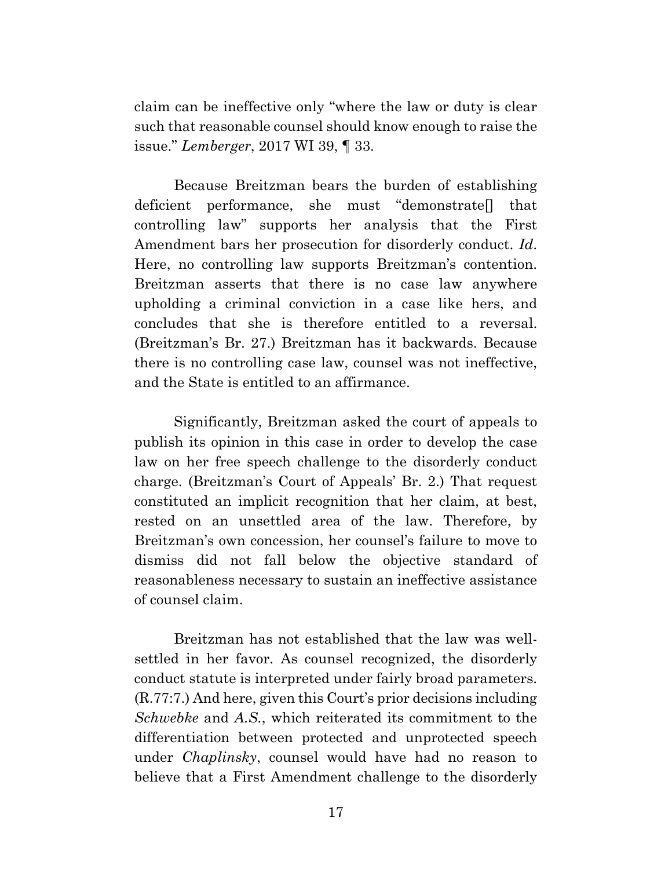claim can be ineffective only "where the law or duty is clear such that reasonable counsel should know enough to raise the issue." *Lemberger*, 2017 WI 39, ¶ 33.

 Because Breitzman bears the burden of establishing deficient performance, she must "demonstrate[] that controlling law" supports her analysis that the First Amendment bars her prosecution for disorderly conduct. *Id*. Here, no controlling law supports Breitzman's contention. Breitzman asserts that there is no case law anywhere upholding a criminal conviction in a case like hers, and concludes that she is therefore entitled to a reversal. (Breitzman's Br. 27.) Breitzman has it backwards. Because there is no controlling case law, counsel was not ineffective, and the State is entitled to an affirmance.

 Significantly, Breitzman asked the court of appeals to publish its opinion in this case in order to develop the case law on her free speech challenge to the disorderly conduct charge. (Breitzman's Court of Appeals' Br. 2.) That request constituted an implicit recognition that her claim, at best, rested on an unsettled area of the law. Therefore, by Breitzman's own concession, her counsel's failure to move to dismiss did not fall below the objective standard of reasonableness necessary to sustain an ineffective assistance of counsel claim.

 Breitzman has not established that the law was wellsettled in her favor. As counsel recognized, the disorderly conduct statute is interpreted under fairly broad parameters. (R.77:7.) And here, given this Court's prior decisions including *Schwebke* and *A.S.*, which reiterated its commitment to the differentiation between protected and unprotected speech under *Chaplinsky*, counsel would have had no reason to believe that a First Amendment challenge to the disorderly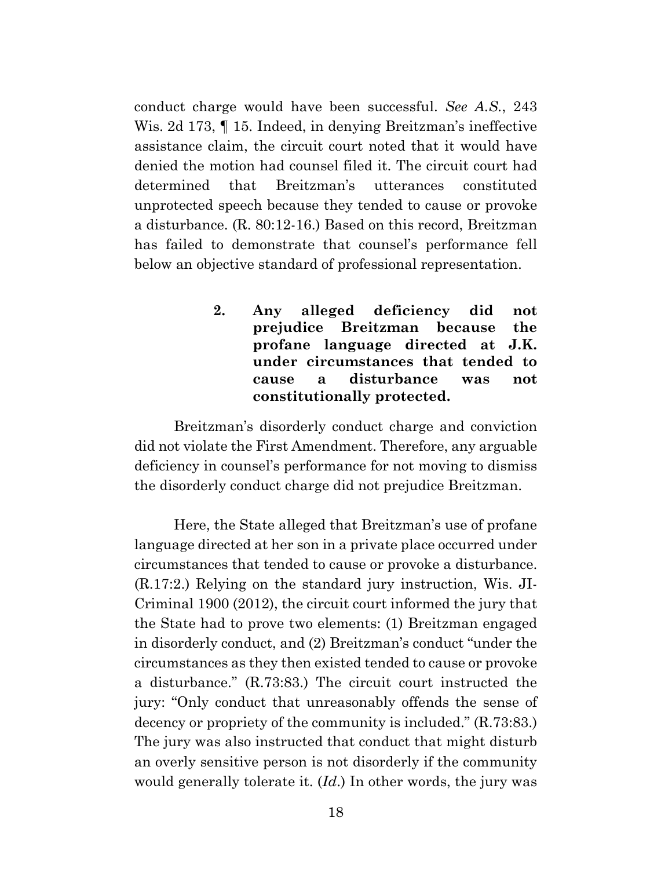conduct charge would have been successful. *See A.S.*, 243 Wis. 2d 173, ¶ 15. Indeed, in denying Breitzman's ineffective assistance claim, the circuit court noted that it would have denied the motion had counsel filed it. The circuit court had determined that Breitzman's utterances constituted unprotected speech because they tended to cause or provoke a disturbance. (R. 80:12-16.) Based on this record, Breitzman has failed to demonstrate that counsel's performance fell below an objective standard of professional representation.

> **2. Any alleged deficiency did not prejudice Breitzman because the profane language directed at J.K. under circumstances that tended to cause a disturbance was not constitutionally protected.**

 Breitzman's disorderly conduct charge and conviction did not violate the First Amendment. Therefore, any arguable deficiency in counsel's performance for not moving to dismiss the disorderly conduct charge did not prejudice Breitzman.

 Here, the State alleged that Breitzman's use of profane language directed at her son in a private place occurred under circumstances that tended to cause or provoke a disturbance. (R.17:2.) Relying on the standard jury instruction, Wis. JI-Criminal 1900 (2012), the circuit court informed the jury that the State had to prove two elements: (1) Breitzman engaged in disorderly conduct, and (2) Breitzman's conduct "under the circumstances as they then existed tended to cause or provoke a disturbance." (R.73:83.) The circuit court instructed the jury: "Only conduct that unreasonably offends the sense of decency or propriety of the community is included." (R.73:83.) The jury was also instructed that conduct that might disturb an overly sensitive person is not disorderly if the community would generally tolerate it. (*Id*.) In other words, the jury was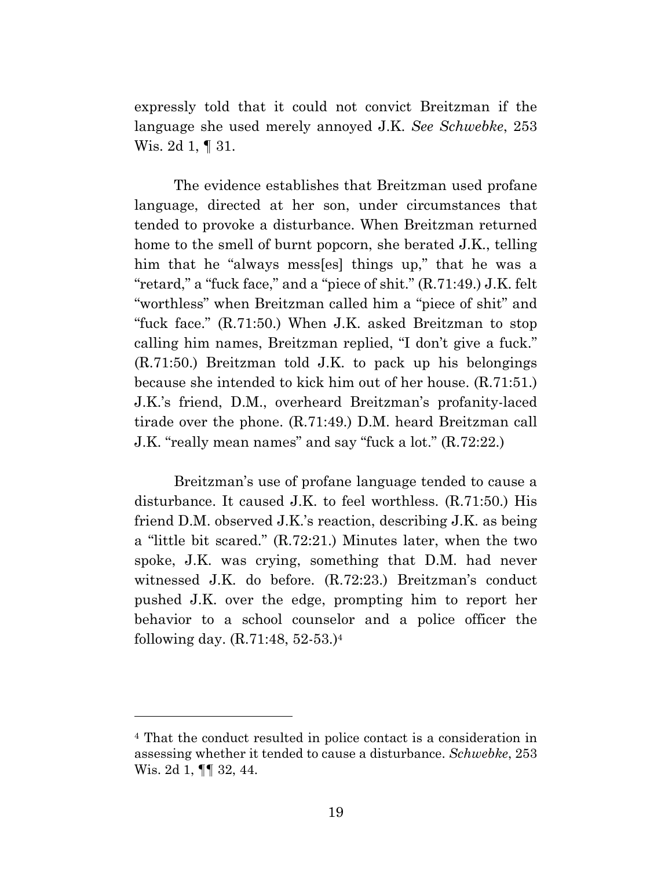expressly told that it could not convict Breitzman if the language she used merely annoyed J.K. *See Schwebke*, 253 Wis. 2d 1, ¶ 31.

 The evidence establishes that Breitzman used profane language, directed at her son, under circumstances that tended to provoke a disturbance. When Breitzman returned home to the smell of burnt popcorn, she berated J.K., telling him that he "always mess[es] things up," that he was a "retard," a "fuck face," and a "piece of shit." (R.71:49.) J.K. felt "worthless" when Breitzman called him a "piece of shit" and "fuck face." (R.71:50.) When J.K. asked Breitzman to stop calling him names, Breitzman replied, "I don't give a fuck." (R.71:50.) Breitzman told J.K. to pack up his belongings because she intended to kick him out of her house. (R.71:51.) J.K.'s friend, D.M., overheard Breitzman's profanity-laced tirade over the phone. (R.71:49.) D.M. heard Breitzman call J.K. "really mean names" and say "fuck a lot." (R.72:22.)

 Breitzman's use of profane language tended to cause a disturbance. It caused J.K. to feel worthless. (R.71:50.) His friend D.M. observed J.K.'s reaction, describing J.K. as being a "little bit scared." (R.72:21.) Minutes later, when the two spoke, J.K. was crying, something that D.M. had never witnessed J.K. do before. (R.72:23.) Breitzman's conduct pushed J.K. over the edge, prompting him to report her behavior to a school counselor and a police officer the following day. (R.71:48, 52-53.)4

<sup>4</sup> That the conduct resulted in police contact is a consideration in assessing whether it tended to cause a disturbance. *Schwebke*, 253 Wis. 2d 1, ¶¶ 32, 44.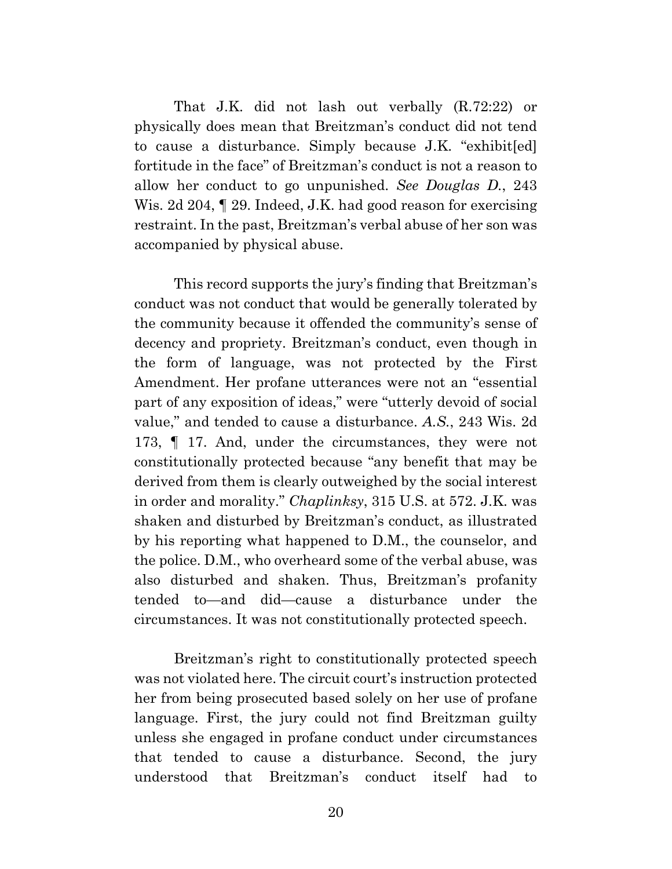That J.K. did not lash out verbally (R.72:22) or physically does mean that Breitzman's conduct did not tend to cause a disturbance. Simply because J.K. "exhibit[ed] fortitude in the face" of Breitzman's conduct is not a reason to allow her conduct to go unpunished. *See Douglas D.*, 243 Wis. 2d 204,  $\parallel$  29. Indeed, J.K. had good reason for exercising restraint. In the past, Breitzman's verbal abuse of her son was accompanied by physical abuse.

 This record supports the jury's finding that Breitzman's conduct was not conduct that would be generally tolerated by the community because it offended the community's sense of decency and propriety. Breitzman's conduct, even though in the form of language, was not protected by the First Amendment. Her profane utterances were not an "essential part of any exposition of ideas," were "utterly devoid of social value," and tended to cause a disturbance. *A.S.*, 243 Wis. 2d 173, ¶ 17. And, under the circumstances, they were not constitutionally protected because "any benefit that may be derived from them is clearly outweighed by the social interest in order and morality." *Chaplinksy*, 315 U.S. at 572. J.K. was shaken and disturbed by Breitzman's conduct, as illustrated by his reporting what happened to D.M., the counselor, and the police. D.M., who overheard some of the verbal abuse, was also disturbed and shaken. Thus, Breitzman's profanity tended to—and did—cause a disturbance under the circumstances. It was not constitutionally protected speech.

 Breitzman's right to constitutionally protected speech was not violated here. The circuit court's instruction protected her from being prosecuted based solely on her use of profane language. First, the jury could not find Breitzman guilty unless she engaged in profane conduct under circumstances that tended to cause a disturbance. Second, the jury understood that Breitzman's conduct itself had to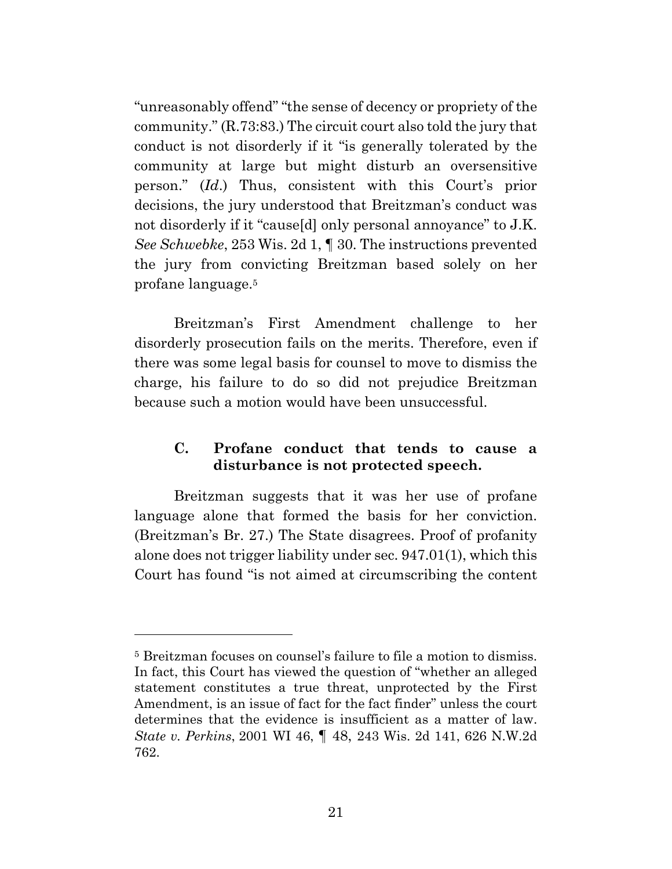"unreasonably offend" "the sense of decency or propriety of the community." (R.73:83.) The circuit court also told the jury that conduct is not disorderly if it "is generally tolerated by the community at large but might disturb an oversensitive person." (*Id*.) Thus, consistent with this Court's prior decisions, the jury understood that Breitzman's conduct was not disorderly if it "cause[d] only personal annoyance" to J.K. *See Schwebke*, 253 Wis. 2d 1, ¶ 30. The instructions prevented the jury from convicting Breitzman based solely on her profane language.5

 Breitzman's First Amendment challenge to her disorderly prosecution fails on the merits. Therefore, even if there was some legal basis for counsel to move to dismiss the charge, his failure to do so did not prejudice Breitzman because such a motion would have been unsuccessful.

## **C. Profane conduct that tends to cause a disturbance is not protected speech.**

 Breitzman suggests that it was her use of profane language alone that formed the basis for her conviction. (Breitzman's Br. 27.) The State disagrees. Proof of profanity alone does not trigger liability under sec. 947.01(1), which this Court has found "is not aimed at circumscribing the content

<sup>5</sup> Breitzman focuses on counsel's failure to file a motion to dismiss. In fact, this Court has viewed the question of "whether an alleged statement constitutes a true threat, unprotected by the First Amendment, is an issue of fact for the fact finder" unless the court determines that the evidence is insufficient as a matter of law. *State v. Perkins*, 2001 WI 46, ¶ 48, 243 Wis. 2d 141, 626 N.W.2d 762.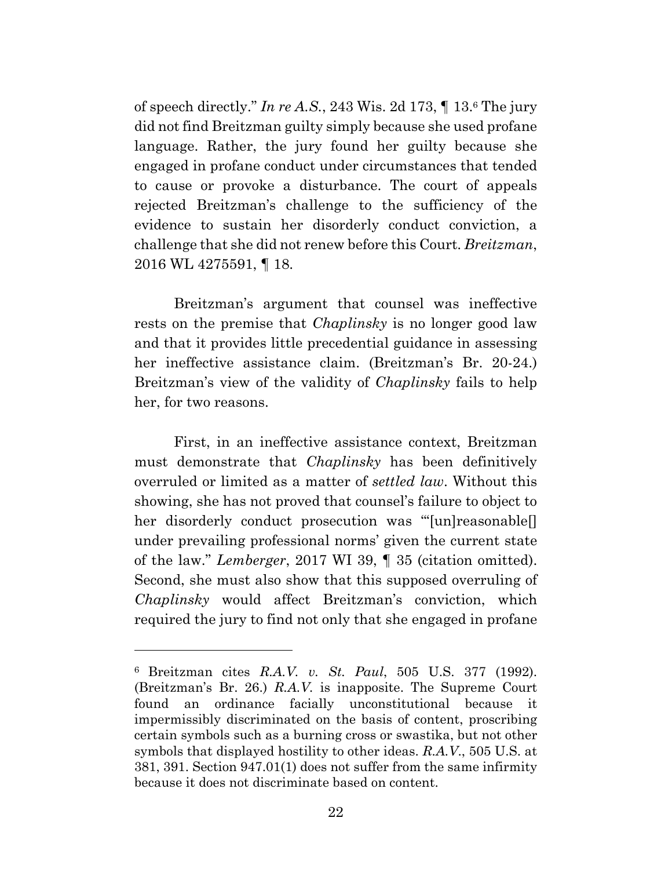of speech directly." *In re A.S.*, 243 Wis. 2d 173, ¶ 13.6 The jury did not find Breitzman guilty simply because she used profane language. Rather, the jury found her guilty because she engaged in profane conduct under circumstances that tended to cause or provoke a disturbance. The court of appeals rejected Breitzman's challenge to the sufficiency of the evidence to sustain her disorderly conduct conviction, a challenge that she did not renew before this Court. *Breitzman*, 2016 WL 4275591, ¶ 18.

 Breitzman's argument that counsel was ineffective rests on the premise that *Chaplinsky* is no longer good law and that it provides little precedential guidance in assessing her ineffective assistance claim. (Breitzman's Br. 20-24.) Breitzman's view of the validity of *Chaplinsky* fails to help her, for two reasons.

 First, in an ineffective assistance context, Breitzman must demonstrate that *Chaplinsky* has been definitively overruled or limited as a matter of *settled law*. Without this showing, she has not proved that counsel's failure to object to her disorderly conduct prosecution was "'[un]reasonable[] under prevailing professional norms' given the current state of the law." *Lemberger*, 2017 WI 39, ¶ 35 (citation omitted). Second, she must also show that this supposed overruling of *Chaplinsky* would affect Breitzman's conviction, which required the jury to find not only that she engaged in profane

<sup>6</sup> Breitzman cites *R.A.V. v. St. Paul*, 505 U.S. 377 (1992). (Breitzman's Br. 26.) *R.A.V.* is inapposite. The Supreme Court found an ordinance facially unconstitutional because impermissibly discriminated on the basis of content, proscribing certain symbols such as a burning cross or swastika, but not other symbols that displayed hostility to other ideas. *R.A.V*., 505 U.S. at 381, 391. Section 947.01(1) does not suffer from the same infirmity because it does not discriminate based on content.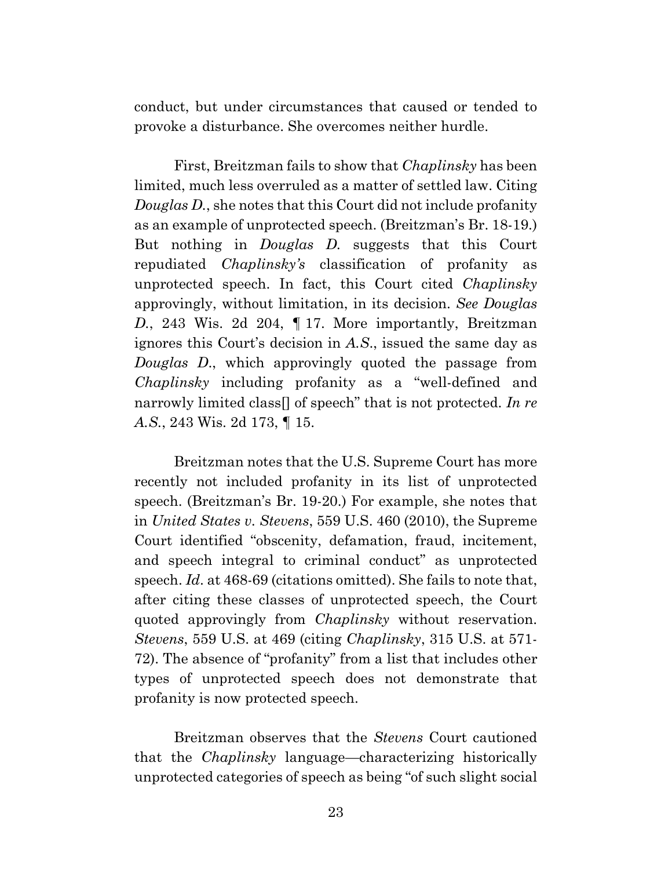conduct, but under circumstances that caused or tended to provoke a disturbance. She overcomes neither hurdle.

 First, Breitzman fails to show that *Chaplinsky* has been limited, much less overruled as a matter of settled law. Citing *Douglas D.*, she notes that this Court did not include profanity as an example of unprotected speech. (Breitzman's Br. 18-19.) But nothing in *Douglas D.* suggests that this Court repudiated *Chaplinsky's* classification of profanity as unprotected speech. In fact, this Court cited *Chaplinsky* approvingly, without limitation, in its decision. *See Douglas D.*, 243 Wis. 2d 204, ¶ 17. More importantly, Breitzman ignores this Court's decision in *A.S*., issued the same day as *Douglas D*., which approvingly quoted the passage from *Chaplinsky* including profanity as a "well-defined and narrowly limited class[] of speech" that is not protected. *In re A.S.*, 243 Wis. 2d 173, ¶ 15.

 Breitzman notes that the U.S. Supreme Court has more recently not included profanity in its list of unprotected speech. (Breitzman's Br. 19-20.) For example, she notes that in *United States v. Stevens*, 559 U.S. 460 (2010), the Supreme Court identified "obscenity, defamation, fraud, incitement, and speech integral to criminal conduct" as unprotected speech. *Id*. at 468-69 (citations omitted). She fails to note that, after citing these classes of unprotected speech, the Court quoted approvingly from *Chaplinsky* without reservation. *Stevens*, 559 U.S. at 469 (citing *Chaplinsky*, 315 U.S. at 571- 72). The absence of "profanity" from a list that includes other types of unprotected speech does not demonstrate that profanity is now protected speech.

 Breitzman observes that the *Stevens* Court cautioned that the *Chaplinsky* language—characterizing historically unprotected categories of speech as being "of such slight social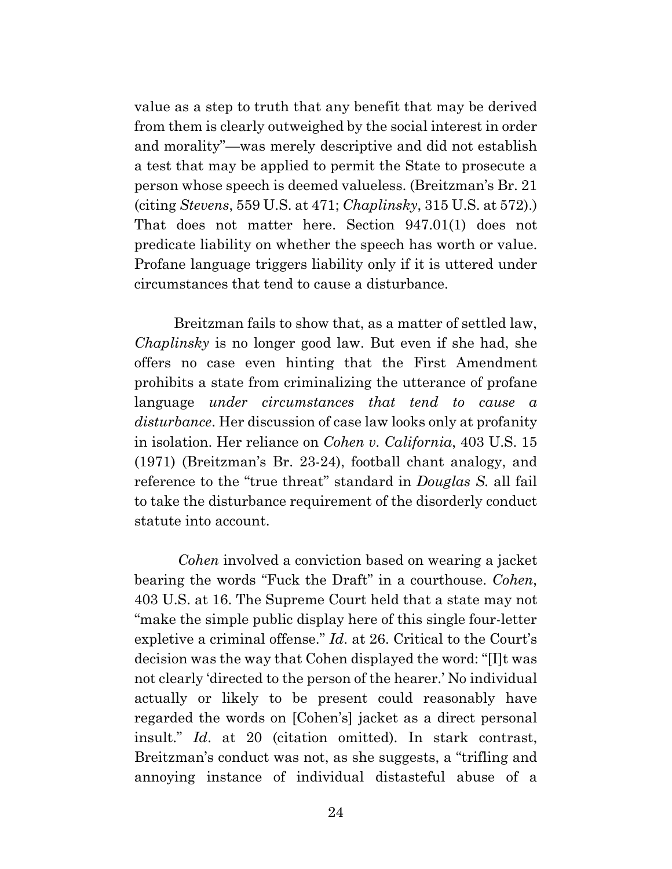value as a step to truth that any benefit that may be derived from them is clearly outweighed by the social interest in order and morality"—was merely descriptive and did not establish a test that may be applied to permit the State to prosecute a person whose speech is deemed valueless. (Breitzman's Br. 21 (citing *Stevens*, 559 U.S. at 471; *Chaplinsky*, 315 U.S. at 572).) That does not matter here. Section 947.01(1) does not predicate liability on whether the speech has worth or value. Profane language triggers liability only if it is uttered under circumstances that tend to cause a disturbance.

 Breitzman fails to show that, as a matter of settled law, *Chaplinsky* is no longer good law. But even if she had, she offers no case even hinting that the First Amendment prohibits a state from criminalizing the utterance of profane language *under circumstances that tend to cause a disturbance*. Her discussion of case law looks only at profanity in isolation. Her reliance on *Cohen v. California*, 403 U.S. 15 (1971) (Breitzman's Br. 23-24), football chant analogy, and reference to the "true threat" standard in *Douglas S.* all fail to take the disturbance requirement of the disorderly conduct statute into account.

 *Cohen* involved a conviction based on wearing a jacket bearing the words "Fuck the Draft" in a courthouse. *Cohen*, 403 U.S. at 16. The Supreme Court held that a state may not "make the simple public display here of this single four-letter expletive a criminal offense." *Id*. at 26. Critical to the Court's decision was the way that Cohen displayed the word: "[I]t was not clearly 'directed to the person of the hearer.' No individual actually or likely to be present could reasonably have regarded the words on [Cohen's] jacket as a direct personal insult." *Id*. at 20 (citation omitted). In stark contrast, Breitzman's conduct was not, as she suggests, a "trifling and annoying instance of individual distasteful abuse of a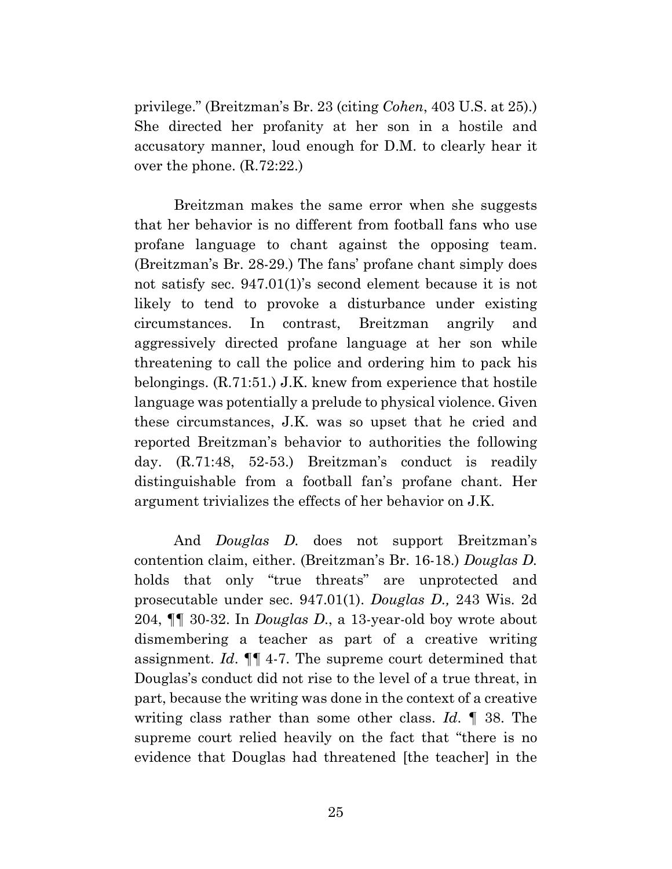privilege." (Breitzman's Br. 23 (citing *Cohen*, 403 U.S. at 25).) She directed her profanity at her son in a hostile and accusatory manner, loud enough for D.M. to clearly hear it over the phone. (R.72:22.)

 Breitzman makes the same error when she suggests that her behavior is no different from football fans who use profane language to chant against the opposing team. (Breitzman's Br. 28-29.) The fans' profane chant simply does not satisfy sec. 947.01(1)'s second element because it is not likely to tend to provoke a disturbance under existing circumstances. In contrast, Breitzman angrily and aggressively directed profane language at her son while threatening to call the police and ordering him to pack his belongings. (R.71:51.) J.K. knew from experience that hostile language was potentially a prelude to physical violence. Given these circumstances, J.K. was so upset that he cried and reported Breitzman's behavior to authorities the following day. (R.71:48, 52-53.) Breitzman's conduct is readily distinguishable from a football fan's profane chant. Her argument trivializes the effects of her behavior on J.K.

 And *Douglas D.* does not support Breitzman's contention claim, either. (Breitzman's Br. 16-18.) *Douglas D.* holds that only "true threats" are unprotected and prosecutable under sec. 947.01(1). *Douglas D.,* 243 Wis. 2d 204, ¶¶ 30-32. In *Douglas D*., a 13-year-old boy wrote about dismembering a teacher as part of a creative writing assignment. *Id*. ¶¶ 4-7. The supreme court determined that Douglas's conduct did not rise to the level of a true threat, in part, because the writing was done in the context of a creative writing class rather than some other class. *Id*. ¶ 38. The supreme court relied heavily on the fact that "there is no evidence that Douglas had threatened [the teacher] in the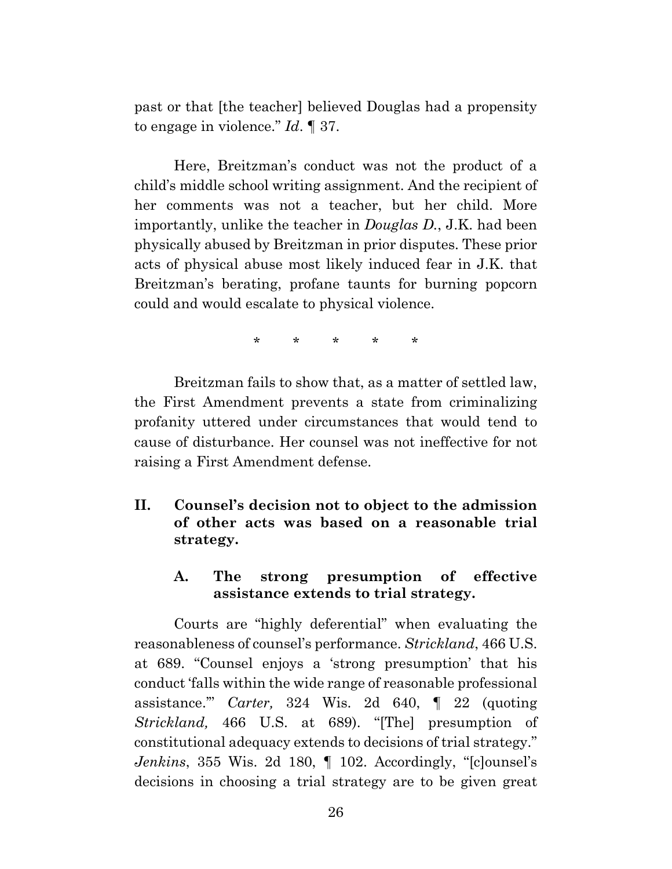past or that [the teacher] believed Douglas had a propensity to engage in violence." *Id*. ¶ 37.

 Here, Breitzman's conduct was not the product of a child's middle school writing assignment. And the recipient of her comments was not a teacher, but her child. More importantly, unlike the teacher in *Douglas D.*, J.K. had been physically abused by Breitzman in prior disputes. These prior acts of physical abuse most likely induced fear in J.K. that Breitzman's berating, profane taunts for burning popcorn could and would escalate to physical violence.

\* \* \* \* \*

 Breitzman fails to show that, as a matter of settled law, the First Amendment prevents a state from criminalizing profanity uttered under circumstances that would tend to cause of disturbance. Her counsel was not ineffective for not raising a First Amendment defense.

**II. Counsel's decision not to object to the admission of other acts was based on a reasonable trial strategy.** 

### **A. The strong presumption of effective assistance extends to trial strategy.**

 Courts are "highly deferential" when evaluating the reasonableness of counsel's performance. *Strickland*, 466 U.S. at 689. "Counsel enjoys a 'strong presumption' that his conduct 'falls within the wide range of reasonable professional assistance.'" *Carter,* 324 Wis. 2d 640, ¶ 22 (quoting *Strickland,* 466 U.S. at 689). "[The] presumption of constitutional adequacy extends to decisions of trial strategy." *Jenkins*, 355 Wis. 2d 180, ¶ 102. Accordingly, "[c]ounsel's decisions in choosing a trial strategy are to be given great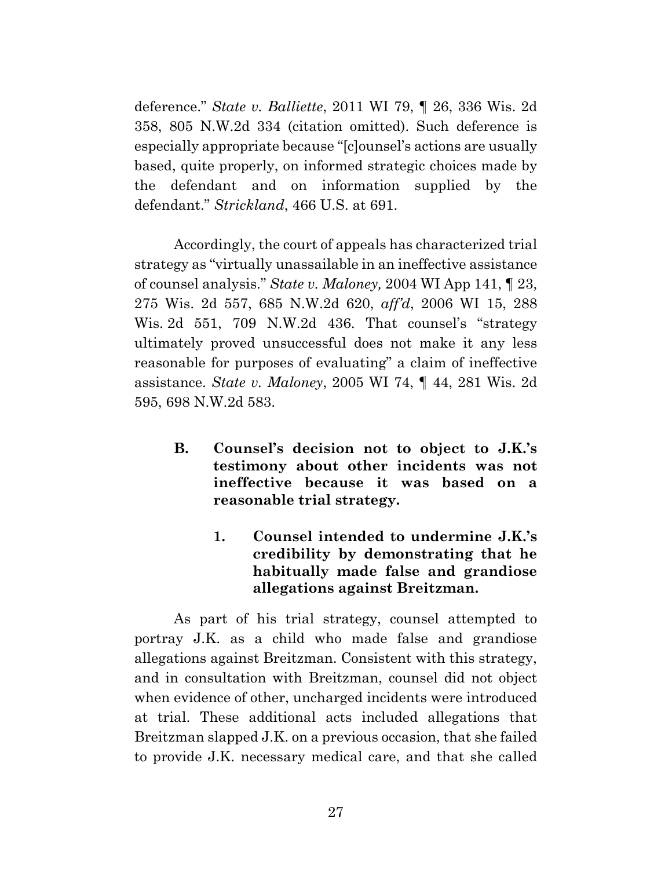deference." *State v. Balliette*, 2011 WI 79, ¶ 26, 336 Wis. 2d 358, 805 N.W.2d 334 (citation omitted). Such deference is especially appropriate because "[c]ounsel's actions are usually based, quite properly, on informed strategic choices made by the defendant and on information supplied by the defendant." *Strickland*, 466 U.S. at 691.

 Accordingly, the court of appeals has characterized trial strategy as "virtually unassailable in an ineffective assistance of counsel analysis." *State v. Maloney,* 2004 WI App 141, ¶ 23, 275 Wis. 2d 557, 685 N.W.2d 620, *aff'd*, 2006 WI 15, 288 Wis. 2d 551, 709 N.W.2d 436. That counsel's "strategy ultimately proved unsuccessful does not make it any less reasonable for purposes of evaluating" a claim of ineffective assistance. *State v. Maloney*, 2005 WI 74, ¶ 44, 281 Wis. 2d 595, 698 N.W.2d 583.

- **B. Counsel's decision not to object to J.K.'s testimony about other incidents was not ineffective because it was based on a reasonable trial strategy.** 
	- **1. Counsel intended to undermine J.K.'s credibility by demonstrating that he habitually made false and grandiose allegations against Breitzman.**

 As part of his trial strategy, counsel attempted to portray J.K. as a child who made false and grandiose allegations against Breitzman. Consistent with this strategy, and in consultation with Breitzman, counsel did not object when evidence of other, uncharged incidents were introduced at trial. These additional acts included allegations that Breitzman slapped J.K. on a previous occasion, that she failed to provide J.K. necessary medical care, and that she called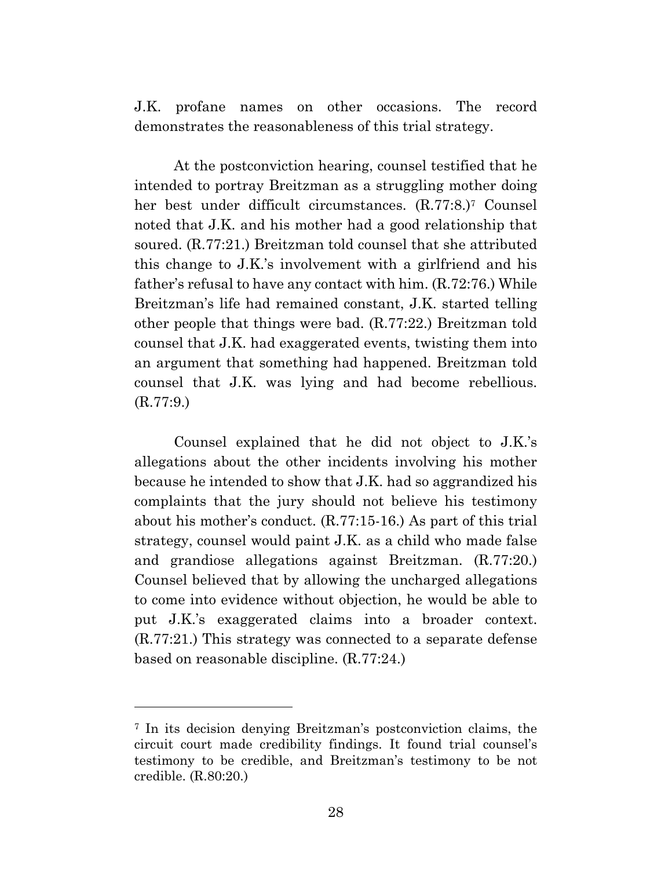J.K. profane names on other occasions. The record demonstrates the reasonableness of this trial strategy.

 At the postconviction hearing, counsel testified that he intended to portray Breitzman as a struggling mother doing her best under difficult circumstances. (R.77:8.)7 Counsel noted that J.K. and his mother had a good relationship that soured. (R.77:21.) Breitzman told counsel that she attributed this change to J.K.'s involvement with a girlfriend and his father's refusal to have any contact with him. (R.72:76.) While Breitzman's life had remained constant, J.K. started telling other people that things were bad. (R.77:22.) Breitzman told counsel that J.K. had exaggerated events, twisting them into an argument that something had happened. Breitzman told counsel that J.K. was lying and had become rebellious. (R.77:9.)

 Counsel explained that he did not object to J.K.'s allegations about the other incidents involving his mother because he intended to show that J.K. had so aggrandized his complaints that the jury should not believe his testimony about his mother's conduct. (R.77:15-16.) As part of this trial strategy, counsel would paint J.K. as a child who made false and grandiose allegations against Breitzman. (R.77:20.) Counsel believed that by allowing the uncharged allegations to come into evidence without objection, he would be able to put J.K.'s exaggerated claims into a broader context. (R.77:21.) This strategy was connected to a separate defense based on reasonable discipline. (R.77:24.)

l

<sup>7</sup> In its decision denying Breitzman's postconviction claims, the circuit court made credibility findings. It found trial counsel's testimony to be credible, and Breitzman's testimony to be not credible. (R.80:20.)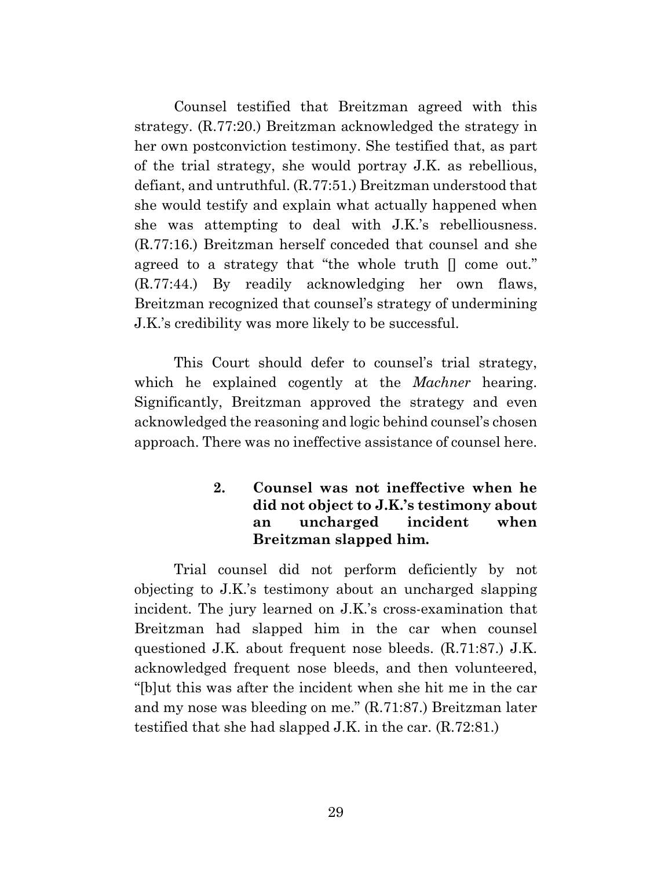Counsel testified that Breitzman agreed with this strategy. (R.77:20.) Breitzman acknowledged the strategy in her own postconviction testimony. She testified that, as part of the trial strategy, she would portray J.K. as rebellious, defiant, and untruthful. (R.77:51.) Breitzman understood that she would testify and explain what actually happened when she was attempting to deal with J.K.'s rebelliousness. (R.77:16.) Breitzman herself conceded that counsel and she agreed to a strategy that "the whole truth [] come out." (R.77:44.) By readily acknowledging her own flaws, Breitzman recognized that counsel's strategy of undermining J.K.'s credibility was more likely to be successful.

 This Court should defer to counsel's trial strategy, which he explained cogently at the *Machner* hearing. Significantly, Breitzman approved the strategy and even acknowledged the reasoning and logic behind counsel's chosen approach. There was no ineffective assistance of counsel here.

## **2. Counsel was not ineffective when he did not object to J.K.'s testimony about an uncharged incident when Breitzman slapped him.**

 Trial counsel did not perform deficiently by not objecting to J.K.'s testimony about an uncharged slapping incident. The jury learned on J.K.'s cross-examination that Breitzman had slapped him in the car when counsel questioned J.K. about frequent nose bleeds. (R.71:87.) J.K. acknowledged frequent nose bleeds, and then volunteered, "[b]ut this was after the incident when she hit me in the car and my nose was bleeding on me." (R.71:87.) Breitzman later testified that she had slapped J.K. in the car. (R.72:81.)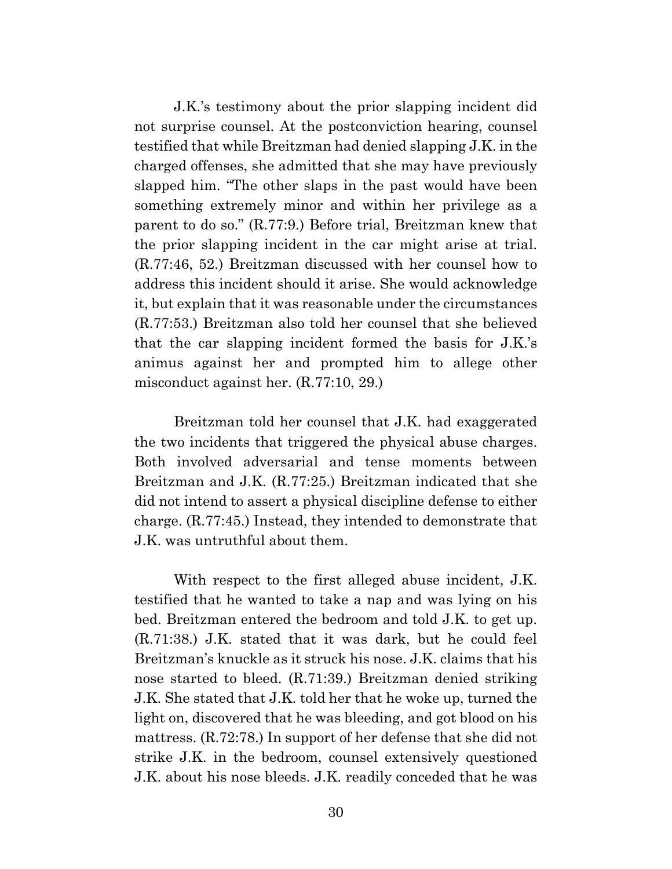J.K.'s testimony about the prior slapping incident did not surprise counsel. At the postconviction hearing, counsel testified that while Breitzman had denied slapping J.K. in the charged offenses, she admitted that she may have previously slapped him. "The other slaps in the past would have been something extremely minor and within her privilege as a parent to do so." (R.77:9.) Before trial, Breitzman knew that the prior slapping incident in the car might arise at trial. (R.77:46, 52.) Breitzman discussed with her counsel how to address this incident should it arise. She would acknowledge it, but explain that it was reasonable under the circumstances (R.77:53.) Breitzman also told her counsel that she believed that the car slapping incident formed the basis for J.K.'s animus against her and prompted him to allege other misconduct against her. (R.77:10, 29.)

 Breitzman told her counsel that J.K. had exaggerated the two incidents that triggered the physical abuse charges. Both involved adversarial and tense moments between Breitzman and J.K. (R.77:25.) Breitzman indicated that she did not intend to assert a physical discipline defense to either charge. (R.77:45.) Instead, they intended to demonstrate that J.K. was untruthful about them.

 With respect to the first alleged abuse incident, J.K. testified that he wanted to take a nap and was lying on his bed. Breitzman entered the bedroom and told J.K. to get up. (R.71:38.) J.K. stated that it was dark, but he could feel Breitzman's knuckle as it struck his nose. J.K. claims that his nose started to bleed. (R.71:39.) Breitzman denied striking J.K. She stated that J.K. told her that he woke up, turned the light on, discovered that he was bleeding, and got blood on his mattress. (R.72:78.) In support of her defense that she did not strike J.K. in the bedroom, counsel extensively questioned J.K. about his nose bleeds. J.K. readily conceded that he was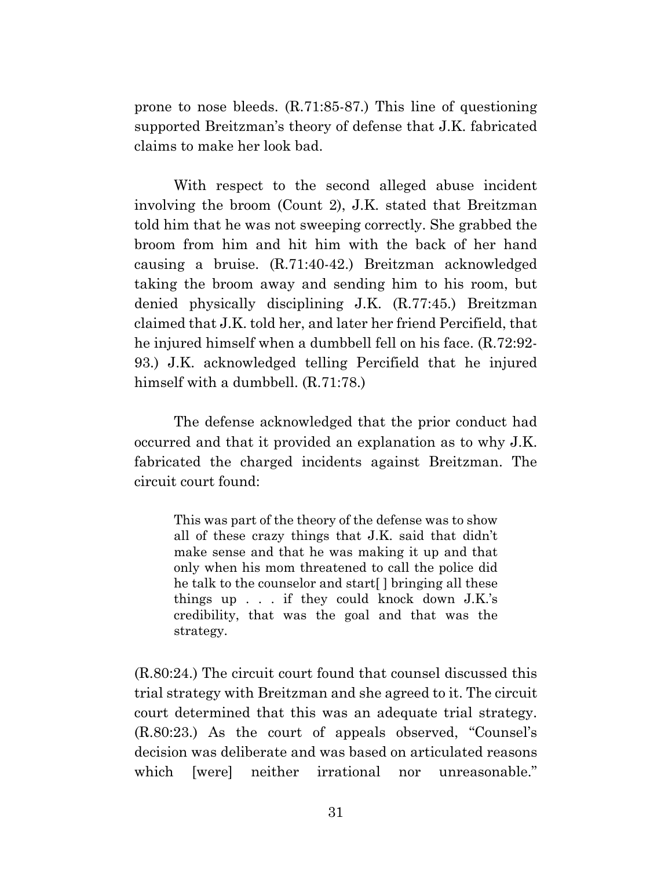prone to nose bleeds. (R.71:85-87.) This line of questioning supported Breitzman's theory of defense that J.K. fabricated claims to make her look bad.

 With respect to the second alleged abuse incident involving the broom (Count 2), J.K. stated that Breitzman told him that he was not sweeping correctly. She grabbed the broom from him and hit him with the back of her hand causing a bruise. (R.71:40-42.) Breitzman acknowledged taking the broom away and sending him to his room, but denied physically disciplining J.K. (R.77:45.) Breitzman claimed that J.K. told her, and later her friend Percifield, that he injured himself when a dumbbell fell on his face. (R.72:92- 93.) J.K. acknowledged telling Percifield that he injured himself with a dumbbell. (R.71:78.)

 The defense acknowledged that the prior conduct had occurred and that it provided an explanation as to why J.K. fabricated the charged incidents against Breitzman. The circuit court found:

This was part of the theory of the defense was to show all of these crazy things that J.K. said that didn't make sense and that he was making it up and that only when his mom threatened to call the police did he talk to the counselor and start[ ] bringing all these things up . . . if they could knock down J.K.'s credibility, that was the goal and that was the strategy.

(R.80:24.) The circuit court found that counsel discussed this trial strategy with Breitzman and she agreed to it. The circuit court determined that this was an adequate trial strategy. (R.80:23.) As the court of appeals observed, "Counsel's decision was deliberate and was based on articulated reasons which [were] neither irrational nor unreasonable."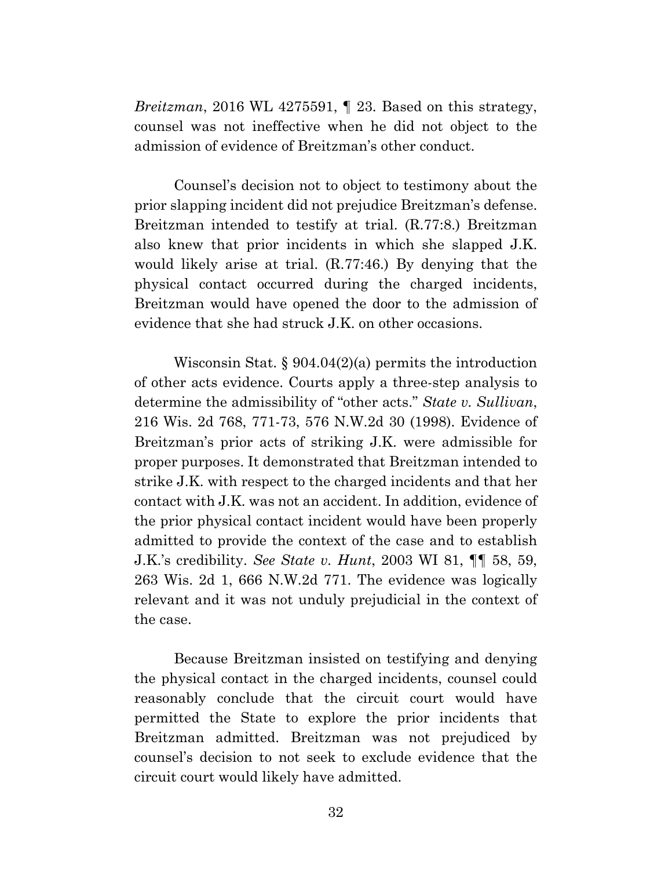*Breitzman*, 2016 WL 4275591, ¶ 23. Based on this strategy, counsel was not ineffective when he did not object to the admission of evidence of Breitzman's other conduct.

 Counsel's decision not to object to testimony about the prior slapping incident did not prejudice Breitzman's defense. Breitzman intended to testify at trial. (R.77:8.) Breitzman also knew that prior incidents in which she slapped J.K. would likely arise at trial. (R.77:46.) By denying that the physical contact occurred during the charged incidents, Breitzman would have opened the door to the admission of evidence that she had struck J.K. on other occasions.

 Wisconsin Stat. § 904.04(2)(a) permits the introduction of other acts evidence. Courts apply a three-step analysis to determine the admissibility of "other acts." *State v. Sullivan*, 216 Wis. 2d 768, 771-73, 576 N.W.2d 30 (1998). Evidence of Breitzman's prior acts of striking J.K. were admissible for proper purposes. It demonstrated that Breitzman intended to strike J.K. with respect to the charged incidents and that her contact with J.K. was not an accident. In addition, evidence of the prior physical contact incident would have been properly admitted to provide the context of the case and to establish J.K.'s credibility. *See State v. Hunt*, 2003 WI 81, ¶¶ 58, 59, 263 Wis. 2d 1, 666 N.W.2d 771. The evidence was logically relevant and it was not unduly prejudicial in the context of the case.

 Because Breitzman insisted on testifying and denying the physical contact in the charged incidents, counsel could reasonably conclude that the circuit court would have permitted the State to explore the prior incidents that Breitzman admitted. Breitzman was not prejudiced by counsel's decision to not seek to exclude evidence that the circuit court would likely have admitted.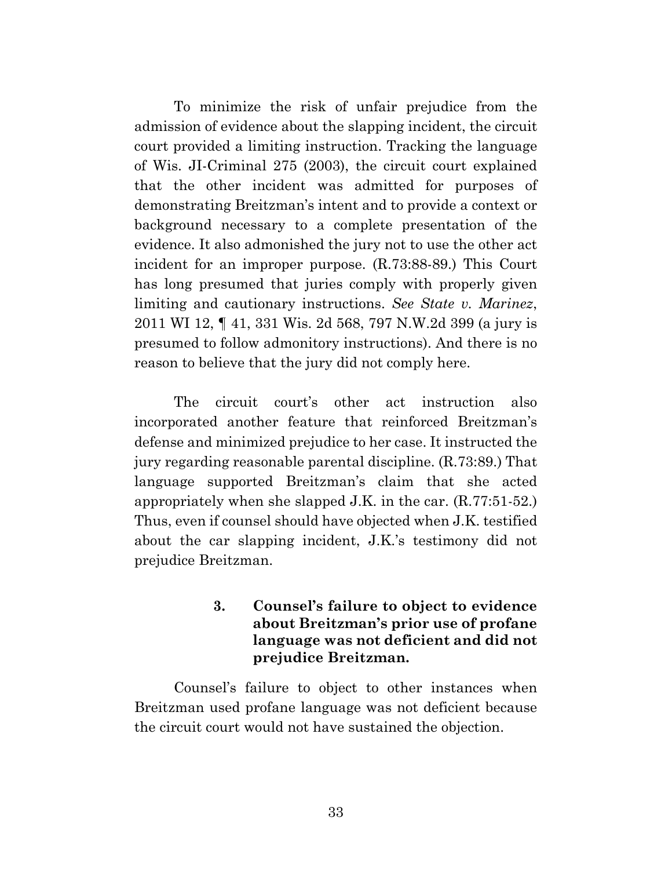To minimize the risk of unfair prejudice from the admission of evidence about the slapping incident, the circuit court provided a limiting instruction. Tracking the language of Wis. JI-Criminal 275 (2003), the circuit court explained that the other incident was admitted for purposes of demonstrating Breitzman's intent and to provide a context or background necessary to a complete presentation of the evidence. It also admonished the jury not to use the other act incident for an improper purpose. (R.73:88-89.) This Court has long presumed that juries comply with properly given limiting and cautionary instructions. *See State v. Marinez*, 2011 WI 12, ¶ 41, 331 Wis. 2d 568, 797 N.W.2d 399 (a jury is presumed to follow admonitory instructions). And there is no reason to believe that the jury did not comply here.

 The circuit court's other act instruction also incorporated another feature that reinforced Breitzman's defense and minimized prejudice to her case. It instructed the jury regarding reasonable parental discipline. (R.73:89.) That language supported Breitzman's claim that she acted appropriately when she slapped J.K. in the car. (R.77:51-52.) Thus, even if counsel should have objected when J.K. testified about the car slapping incident, J.K.'s testimony did not prejudice Breitzman.

## **3. Counsel's failure to object to evidence about Breitzman's prior use of profane language was not deficient and did not prejudice Breitzman.**

 Counsel's failure to object to other instances when Breitzman used profane language was not deficient because the circuit court would not have sustained the objection.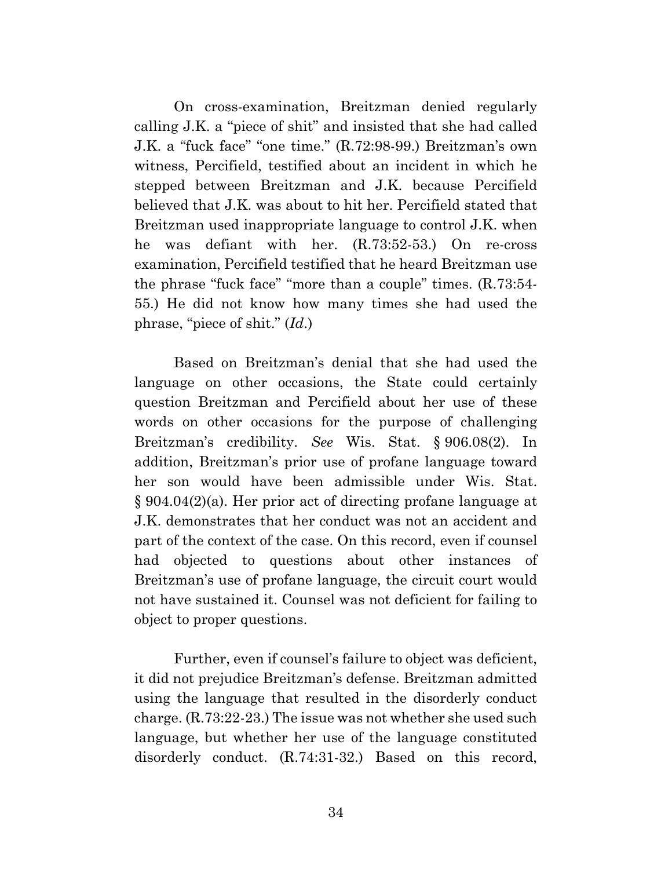On cross-examination, Breitzman denied regularly calling J.K. a "piece of shit" and insisted that she had called J.K. a "fuck face" "one time." (R.72:98-99.) Breitzman's own witness, Percifield, testified about an incident in which he stepped between Breitzman and J.K. because Percifield believed that J.K. was about to hit her. Percifield stated that Breitzman used inappropriate language to control J.K. when he was defiant with her. (R.73:52-53.) On re-cross examination, Percifield testified that he heard Breitzman use the phrase "fuck face" "more than a couple" times. (R.73:54- 55.) He did not know how many times she had used the phrase, "piece of shit." (*Id*.)

 Based on Breitzman's denial that she had used the language on other occasions, the State could certainly question Breitzman and Percifield about her use of these words on other occasions for the purpose of challenging Breitzman's credibility. *See* Wis. Stat. § 906.08(2). In addition, Breitzman's prior use of profane language toward her son would have been admissible under Wis. Stat. § 904.04(2)(a). Her prior act of directing profane language at J.K. demonstrates that her conduct was not an accident and part of the context of the case. On this record, even if counsel had objected to questions about other instances of Breitzman's use of profane language, the circuit court would not have sustained it. Counsel was not deficient for failing to object to proper questions.

 Further, even if counsel's failure to object was deficient, it did not prejudice Breitzman's defense. Breitzman admitted using the language that resulted in the disorderly conduct charge. (R.73:22-23.) The issue was not whether she used such language, but whether her use of the language constituted disorderly conduct. (R.74:31-32.) Based on this record,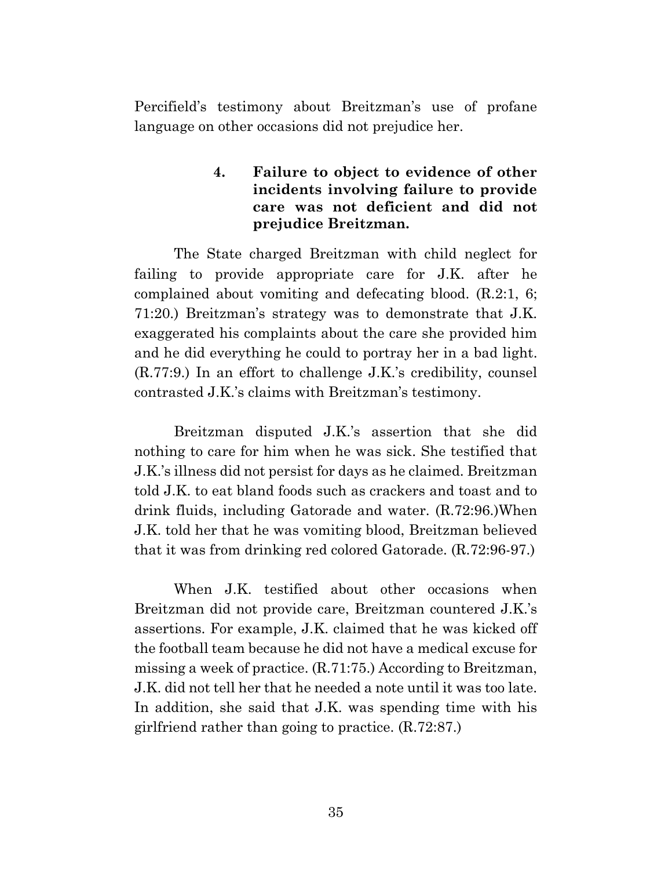Percifield's testimony about Breitzman's use of profane language on other occasions did not prejudice her.

## **4. Failure to object to evidence of other incidents involving failure to provide care was not deficient and did not prejudice Breitzman.**

 The State charged Breitzman with child neglect for failing to provide appropriate care for J.K. after he complained about vomiting and defecating blood. (R.2:1, 6; 71:20.) Breitzman's strategy was to demonstrate that J.K. exaggerated his complaints about the care she provided him and he did everything he could to portray her in a bad light. (R.77:9.) In an effort to challenge J.K.'s credibility, counsel contrasted J.K.'s claims with Breitzman's testimony.

 Breitzman disputed J.K.'s assertion that she did nothing to care for him when he was sick. She testified that J.K.'s illness did not persist for days as he claimed. Breitzman told J.K. to eat bland foods such as crackers and toast and to drink fluids, including Gatorade and water. (R.72:96.)When J.K. told her that he was vomiting blood, Breitzman believed that it was from drinking red colored Gatorade. (R.72:96-97.)

 When J.K. testified about other occasions when Breitzman did not provide care, Breitzman countered J.K.'s assertions. For example, J.K. claimed that he was kicked off the football team because he did not have a medical excuse for missing a week of practice. (R.71:75.) According to Breitzman, J.K. did not tell her that he needed a note until it was too late. In addition, she said that J.K. was spending time with his girlfriend rather than going to practice. (R.72:87.)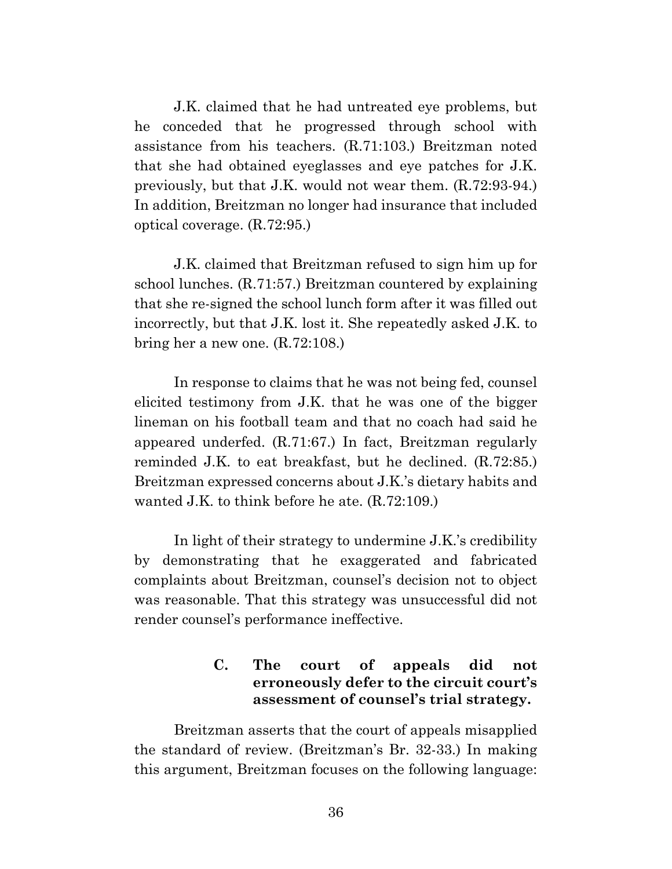J.K. claimed that he had untreated eye problems, but he conceded that he progressed through school with assistance from his teachers. (R.71:103.) Breitzman noted that she had obtained eyeglasses and eye patches for J.K. previously, but that J.K. would not wear them. (R.72:93-94.) In addition, Breitzman no longer had insurance that included optical coverage. (R.72:95.)

 J.K. claimed that Breitzman refused to sign him up for school lunches. (R.71:57.) Breitzman countered by explaining that she re-signed the school lunch form after it was filled out incorrectly, but that J.K. lost it. She repeatedly asked J.K. to bring her a new one. (R.72:108.)

 In response to claims that he was not being fed, counsel elicited testimony from J.K. that he was one of the bigger lineman on his football team and that no coach had said he appeared underfed. (R.71:67.) In fact, Breitzman regularly reminded J.K. to eat breakfast, but he declined. (R.72:85.) Breitzman expressed concerns about J.K.'s dietary habits and wanted J.K. to think before he ate. (R.72:109.)

 In light of their strategy to undermine J.K.'s credibility by demonstrating that he exaggerated and fabricated complaints about Breitzman, counsel's decision not to object was reasonable. That this strategy was unsuccessful did not render counsel's performance ineffective.

## **C. The court of appeals did not erroneously defer to the circuit court's assessment of counsel's trial strategy.**

 Breitzman asserts that the court of appeals misapplied the standard of review. (Breitzman's Br. 32-33.) In making this argument, Breitzman focuses on the following language: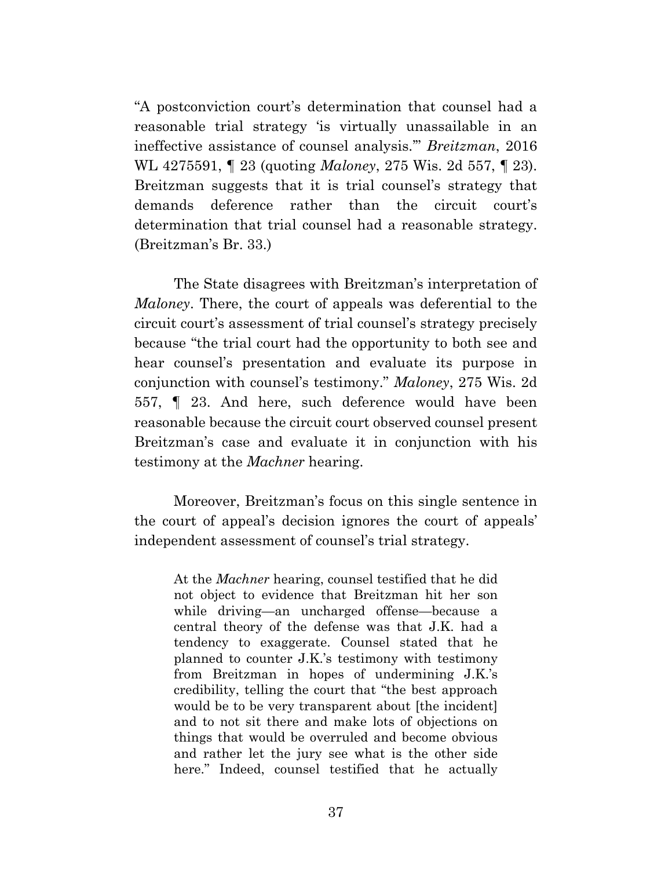"A postconviction court's determination that counsel had a reasonable trial strategy 'is virtually unassailable in an ineffective assistance of counsel analysis.'" *Breitzman*, 2016 WL 4275591, ¶ 23 (quoting *Maloney*, 275 Wis. 2d 557, ¶ 23). Breitzman suggests that it is trial counsel's strategy that demands deference rather than the circuit court's determination that trial counsel had a reasonable strategy. (Breitzman's Br. 33.)

 The State disagrees with Breitzman's interpretation of *Maloney*. There, the court of appeals was deferential to the circuit court's assessment of trial counsel's strategy precisely because "the trial court had the opportunity to both see and hear counsel's presentation and evaluate its purpose in conjunction with counsel's testimony." *Maloney*, 275 Wis. 2d 557, ¶ 23. And here, such deference would have been reasonable because the circuit court observed counsel present Breitzman's case and evaluate it in conjunction with his testimony at the *Machner* hearing.

 Moreover, Breitzman's focus on this single sentence in the court of appeal's decision ignores the court of appeals' independent assessment of counsel's trial strategy.

At the *Machner* hearing, counsel testified that he did not object to evidence that Breitzman hit her son while driving—an uncharged offense—because a central theory of the defense was that J.K. had a tendency to exaggerate. Counsel stated that he planned to counter J.K.'s testimony with testimony from Breitzman in hopes of undermining J.K.'s credibility, telling the court that "the best approach would be to be very transparent about [the incident] and to not sit there and make lots of objections on things that would be overruled and become obvious and rather let the jury see what is the other side here." Indeed, counsel testified that he actually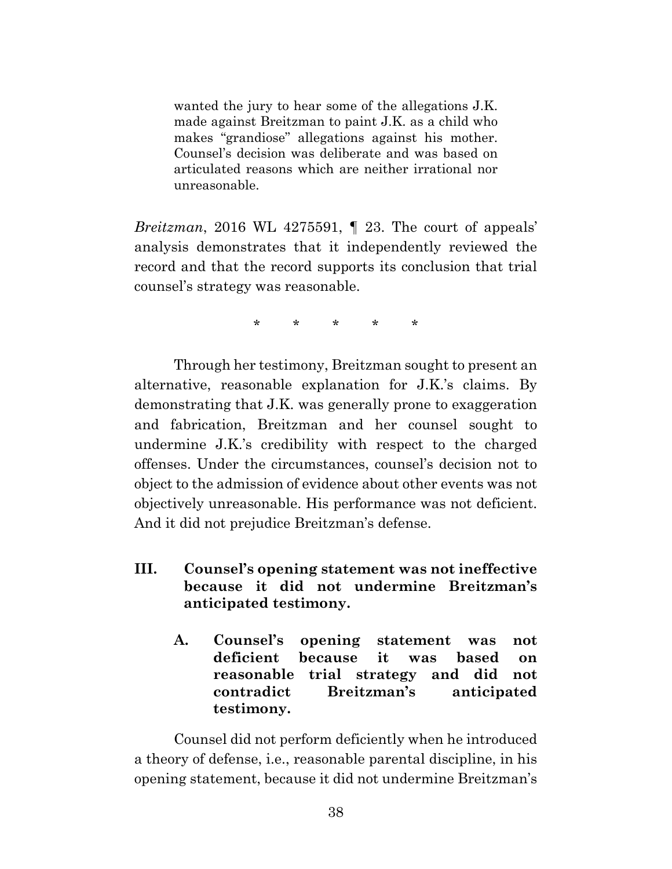wanted the jury to hear some of the allegations J.K. made against Breitzman to paint J.K. as a child who makes "grandiose" allegations against his mother. Counsel's decision was deliberate and was based on articulated reasons which are neither irrational nor unreasonable.

*Breitzman*, 2016 WL 4275591, ¶ 23. The court of appeals' analysis demonstrates that it independently reviewed the record and that the record supports its conclusion that trial counsel's strategy was reasonable.

\* \* \* \* \*

 Through her testimony, Breitzman sought to present an alternative, reasonable explanation for J.K.'s claims. By demonstrating that J.K. was generally prone to exaggeration and fabrication, Breitzman and her counsel sought to undermine J.K.'s credibility with respect to the charged offenses. Under the circumstances, counsel's decision not to object to the admission of evidence about other events was not objectively unreasonable. His performance was not deficient. And it did not prejudice Breitzman's defense.

- **III. Counsel's opening statement was not ineffective because it did not undermine Breitzman's anticipated testimony.** 
	- **A. Counsel's opening statement was not deficient because it was based on reasonable trial strategy and did not contradict Breitzman's anticipated testimony.**

 Counsel did not perform deficiently when he introduced a theory of defense, i.e., reasonable parental discipline, in his opening statement, because it did not undermine Breitzman's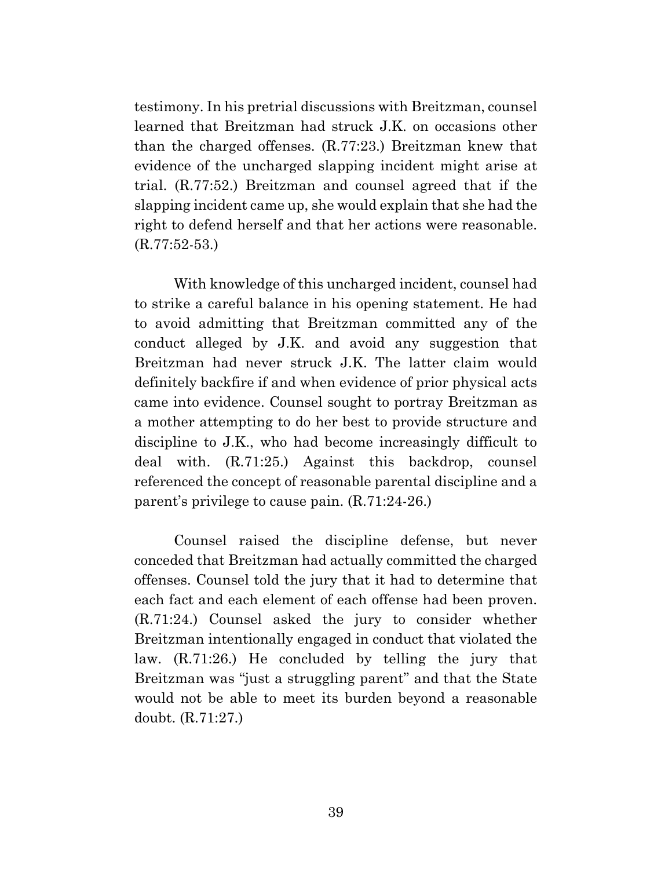testimony. In his pretrial discussions with Breitzman, counsel learned that Breitzman had struck J.K. on occasions other than the charged offenses. (R.77:23.) Breitzman knew that evidence of the uncharged slapping incident might arise at trial. (R.77:52.) Breitzman and counsel agreed that if the slapping incident came up, she would explain that she had the right to defend herself and that her actions were reasonable. (R.77:52-53.)

 With knowledge of this uncharged incident, counsel had to strike a careful balance in his opening statement. He had to avoid admitting that Breitzman committed any of the conduct alleged by J.K. and avoid any suggestion that Breitzman had never struck J.K. The latter claim would definitely backfire if and when evidence of prior physical acts came into evidence. Counsel sought to portray Breitzman as a mother attempting to do her best to provide structure and discipline to J.K., who had become increasingly difficult to deal with. (R.71:25.) Against this backdrop, counsel referenced the concept of reasonable parental discipline and a parent's privilege to cause pain. (R.71:24-26.)

 Counsel raised the discipline defense, but never conceded that Breitzman had actually committed the charged offenses. Counsel told the jury that it had to determine that each fact and each element of each offense had been proven. (R.71:24.) Counsel asked the jury to consider whether Breitzman intentionally engaged in conduct that violated the law. (R.71:26.) He concluded by telling the jury that Breitzman was "just a struggling parent" and that the State would not be able to meet its burden beyond a reasonable doubt. (R.71:27.)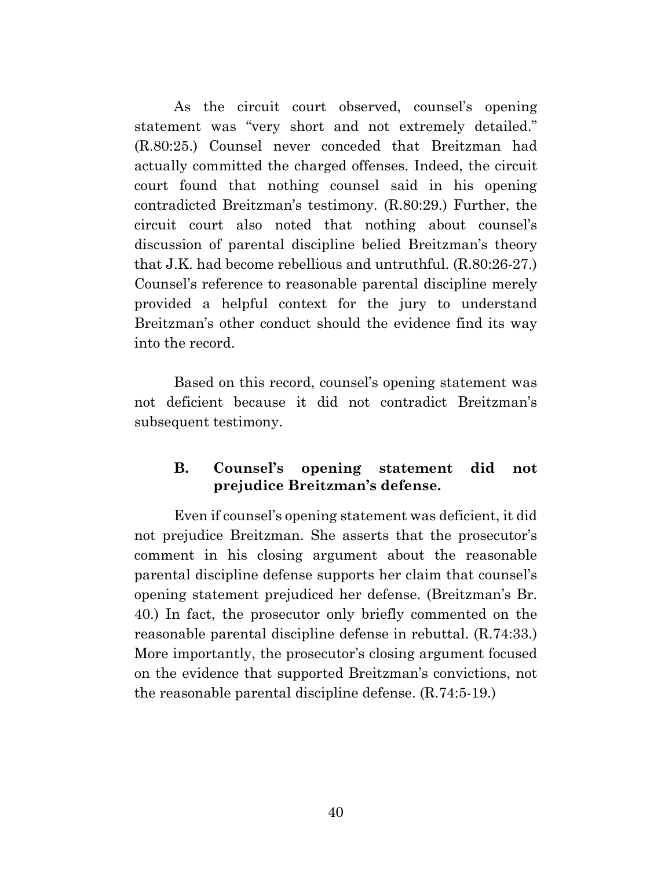As the circuit court observed, counsel's opening statement was "very short and not extremely detailed." (R.80:25.) Counsel never conceded that Breitzman had actually committed the charged offenses. Indeed, the circuit court found that nothing counsel said in his opening contradicted Breitzman's testimony. (R.80:29.) Further, the circuit court also noted that nothing about counsel's discussion of parental discipline belied Breitzman's theory that J.K. had become rebellious and untruthful. (R.80:26-27.) Counsel's reference to reasonable parental discipline merely provided a helpful context for the jury to understand Breitzman's other conduct should the evidence find its way into the record.

 Based on this record, counsel's opening statement was not deficient because it did not contradict Breitzman's subsequent testimony.

## **B. Counsel's opening statement did not prejudice Breitzman's defense.**

 Even if counsel's opening statement was deficient, it did not prejudice Breitzman. She asserts that the prosecutor's comment in his closing argument about the reasonable parental discipline defense supports her claim that counsel's opening statement prejudiced her defense. (Breitzman's Br. 40.) In fact, the prosecutor only briefly commented on the reasonable parental discipline defense in rebuttal. (R.74:33.) More importantly, the prosecutor's closing argument focused on the evidence that supported Breitzman's convictions, not the reasonable parental discipline defense. (R.74:5-19.)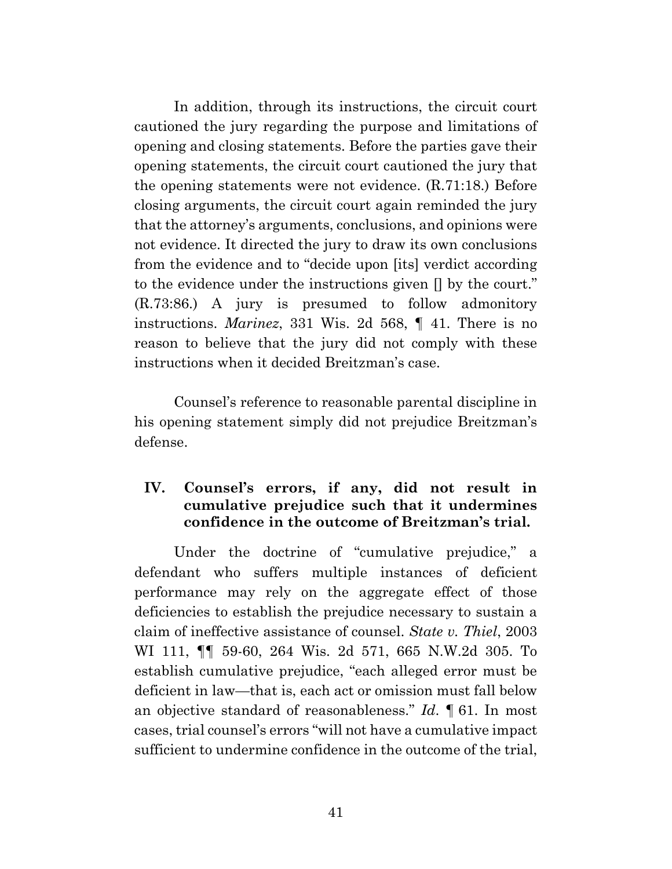In addition, through its instructions, the circuit court cautioned the jury regarding the purpose and limitations of opening and closing statements. Before the parties gave their opening statements, the circuit court cautioned the jury that the opening statements were not evidence. (R.71:18.) Before closing arguments, the circuit court again reminded the jury that the attorney's arguments, conclusions, and opinions were not evidence. It directed the jury to draw its own conclusions from the evidence and to "decide upon [its] verdict according to the evidence under the instructions given [] by the court." (R.73:86.) A jury is presumed to follow admonitory instructions. *Marinez*, 331 Wis. 2d 568, ¶ 41. There is no reason to believe that the jury did not comply with these instructions when it decided Breitzman's case.

 Counsel's reference to reasonable parental discipline in his opening statement simply did not prejudice Breitzman's defense.

## **IV. Counsel's errors, if any, did not result in cumulative prejudice such that it undermines confidence in the outcome of Breitzman's trial.**

Under the doctrine of "cumulative prejudice," a defendant who suffers multiple instances of deficient performance may rely on the aggregate effect of those deficiencies to establish the prejudice necessary to sustain a claim of ineffective assistance of counsel. *State v. Thiel*, 2003 WI 111, ¶¶ 59-60, 264 Wis. 2d 571, 665 N.W.2d 305. To establish cumulative prejudice, "each alleged error must be deficient in law—that is, each act or omission must fall below an objective standard of reasonableness." *Id*. ¶ 61. In most cases, trial counsel's errors "will not have a cumulative impact sufficient to undermine confidence in the outcome of the trial,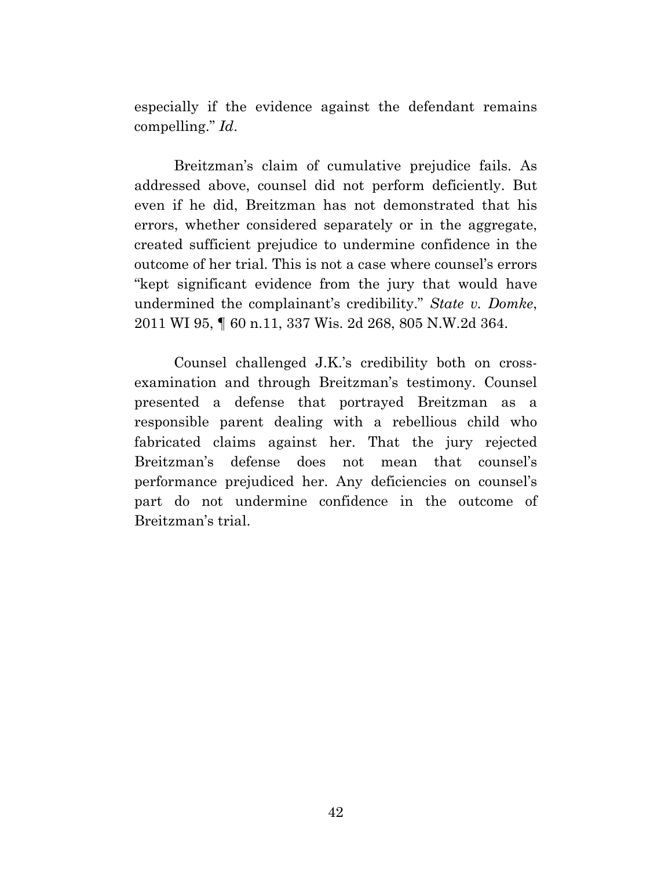especially if the evidence against the defendant remains compelling." *Id*.

 Breitzman's claim of cumulative prejudice fails. As addressed above, counsel did not perform deficiently. But even if he did, Breitzman has not demonstrated that his errors, whether considered separately or in the aggregate, created sufficient prejudice to undermine confidence in the outcome of her trial. This is not a case where counsel's errors "kept significant evidence from the jury that would have undermined the complainant's credibility." *State v. Domke*, 2011 WI 95, ¶ 60 n.11, 337 Wis. 2d 268, 805 N.W.2d 364.

 Counsel challenged J.K.'s credibility both on crossexamination and through Breitzman's testimony. Counsel presented a defense that portrayed Breitzman as a responsible parent dealing with a rebellious child who fabricated claims against her. That the jury rejected Breitzman's defense does not mean that counsel's performance prejudiced her. Any deficiencies on counsel's part do not undermine confidence in the outcome of Breitzman's trial.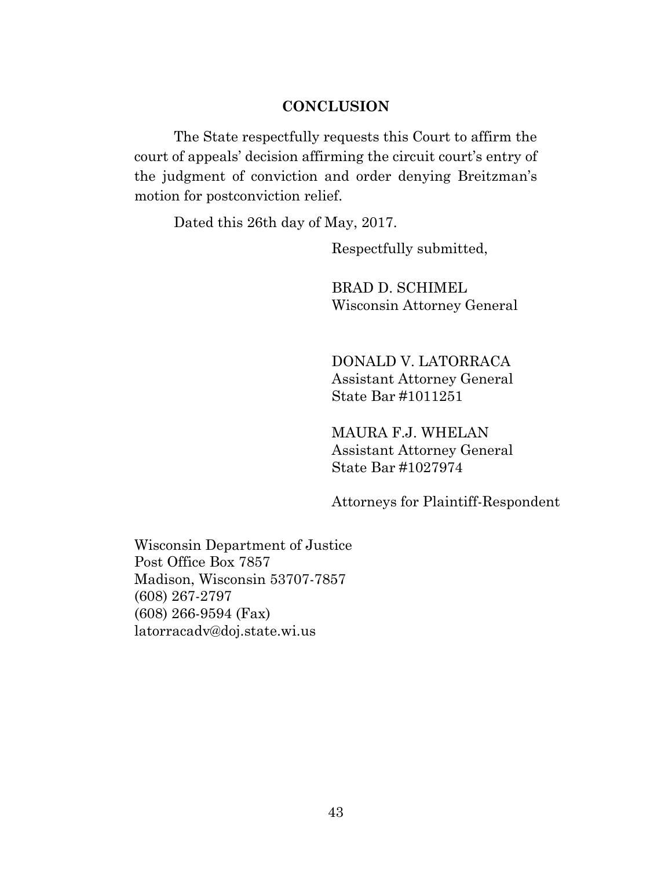#### **CONCLUSION**

 The State respectfully requests this Court to affirm the court of appeals' decision affirming the circuit court's entry of the judgment of conviction and order denying Breitzman's motion for postconviction relief.

Dated this 26th day of May, 2017.

Respectfully submitted,

 BRAD D. SCHIMEL Wisconsin Attorney General

 DONALD V. LATORRACA Assistant Attorney General State Bar #1011251

MAURA F.J. WHELAN Assistant Attorney General State Bar #1027974

Attorneys for Plaintiff-Respondent

Wisconsin Department of Justice Post Office Box 7857 Madison, Wisconsin 53707-7857 (608) 267-2797 (608) 266-9594 (Fax) latorracadv@doj.state.wi.us